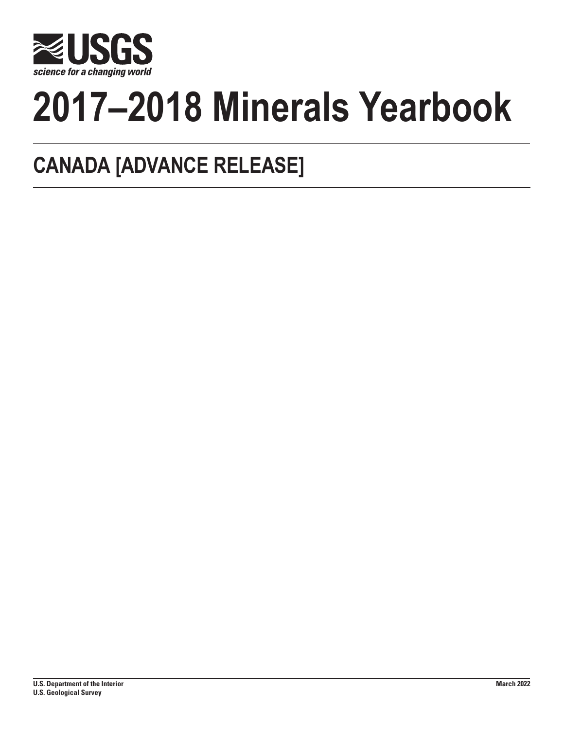

# **2017–2018 Minerals Yearbook**

# **CANADA [ADVANCE RELEASE]**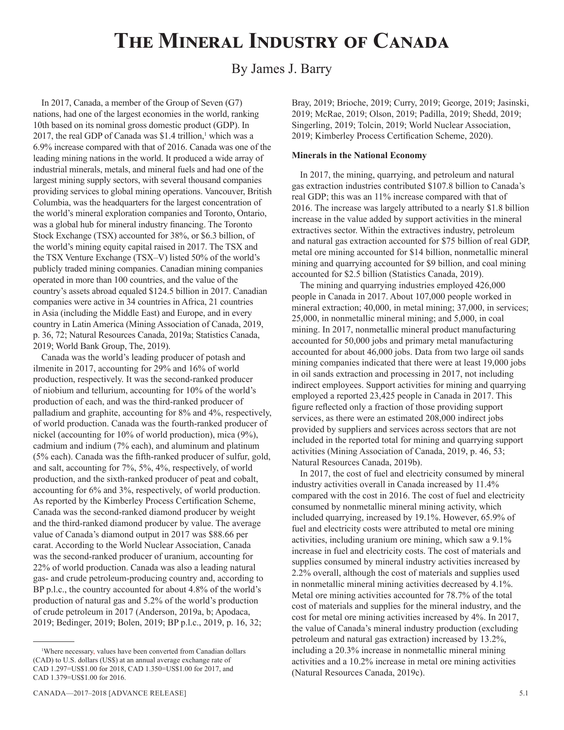# **The Mineral Industry of Canada**

# By James J. Barry

In 2017, Canada, a member of the Group of Seven (G7) nations, had one of the largest economies in the world, ranking 10th based on its nominal gross domestic product (GDP). In 2017, the real GDP of Canada was \$1.4 trillion,<sup>1</sup> which was a 6.9% increase compared with that of 2016. Canada was one of the leading mining nations in the world. It produced a wide array of industrial minerals, metals, and mineral fuels and had one of the largest mining supply sectors, with several thousand companies providing services to global mining operations. Vancouver, British Columbia, was the headquarters for the largest concentration of the world's mineral exploration companies and Toronto, Ontario, was a global hub for mineral industry financing. The Toronto Stock Exchange (TSX) accounted for 38%, or \$6.3 billion, of the world's mining equity capital raised in 2017. The TSX and the TSX Venture Exchange (TSX–V) listed 50% of the world's publicly traded mining companies. Canadian mining companies operated in more than 100 countries, and the value of the country's assets abroad equaled \$124.5 billion in 2017. Canadian companies were active in 34 countries in Africa, 21 countries in Asia (including the Middle East) and Europe, and in every country in Latin America (Mining Association of Canada, 2019, p. 36, 72; Natural Resources Canada, 2019a; Statistics Canada, 2019; World Bank Group, The, 2019).

Canada was the world's leading producer of potash and ilmenite in 2017, accounting for 29% and 16% of world production, respectively. It was the second-ranked producer of niobium and tellurium, accounting for 10% of the world's production of each, and was the third-ranked producer of palladium and graphite, accounting for 8% and 4%, respectively, of world production. Canada was the fourth-ranked producer of nickel (accounting for 10% of world production), mica (9%), cadmium and indium (7% each), and aluminum and platinum (5% each). Canada was the fifth-ranked producer of sulfur, gold, and salt, accounting for 7%, 5%, 4%, respectively, of world production, and the sixth-ranked producer of peat and cobalt, accounting for 6% and 3%, respectively, of world production. As reported by the Kimberley Process Certification Scheme, Canada was the second-ranked diamond producer by weight and the third-ranked diamond producer by value. The average value of Canada's diamond output in 2017 was \$88.66 per carat. According to the World Nuclear Association, Canada was the second-ranked producer of uranium, accounting for 22% of world production. Canada was also a leading natural gas- and crude petroleum-producing country and, according to BP p.l.c., the country accounted for about 4.8% of the world's production of natural gas and 5.2% of the world's production of crude petroleum in 2017 (Anderson, 2019a, b; Apodaca, 2019; Bedinger, 2019; Bolen, 2019; BP p.l.c., 2019, p. 16, 32;

Bray, 2019; Brioche, 2019; Curry, 2019; George, 2019; Jasinski, 2019; McRae, 2019; Olson, 2019; Padilla, 2019; Shedd, 2019; Singerling, 2019; Tolcin, 2019; World Nuclear Association, 2019; Kimberley Process Certification Scheme, 2020).

# **Minerals in the National Economy**

In 2017, the mining, quarrying, and petroleum and natural gas extraction industries contributed \$107.8 billion to Canada's real GDP; this was an 11% increase compared with that of 2016. The increase was largely attributed to a nearly \$1.8 billion increase in the value added by support activities in the mineral extractives sector. Within the extractives industry, petroleum and natural gas extraction accounted for \$75 billion of real GDP, metal ore mining accounted for \$14 billion, nonmetallic mineral mining and quarrying accounted for \$9 billion, and coal mining accounted for \$2.5 billion (Statistics Canada, 2019).

The mining and quarrying industries employed 426,000 people in Canada in 2017. About 107,000 people worked in mineral extraction; 40,000, in metal mining; 37,000, in services; 25,000, in nonmetallic mineral mining; and 5,000, in coal mining. In 2017, nonmetallic mineral product manufacturing accounted for 50,000 jobs and primary metal manufacturing accounted for about 46,000 jobs. Data from two large oil sands mining companies indicated that there were at least 19,000 jobs in oil sands extraction and processing in 2017, not including indirect employees. Support activities for mining and quarrying employed a reported 23,425 people in Canada in 2017. This figure reflected only a fraction of those providing support services, as there were an estimated 208,000 indirect jobs provided by suppliers and services across sectors that are not included in the reported total for mining and quarrying support activities (Mining Association of Canada, 2019, p. 46, 53; Natural Resources Canada, 2019b).

In 2017, the cost of fuel and electricity consumed by mineral industry activities overall in Canada increased by 11.4% compared with the cost in 2016. The cost of fuel and electricity consumed by nonmetallic mineral mining activity, which included quarrying, increased by 19.1%. However, 65.9% of fuel and electricity costs were attributed to metal ore mining activities, including uranium ore mining, which saw a 9.1% increase in fuel and electricity costs. The cost of materials and supplies consumed by mineral industry activities increased by 2.2% overall, although the cost of materials and supplies used in nonmetallic mineral mining activities decreased by 4.1%. Metal ore mining activities accounted for 78.7% of the total cost of materials and supplies for the mineral industry, and the cost for metal ore mining activities increased by 4%. In 2017, the value of Canada's mineral industry production (excluding petroleum and natural gas extraction) increased by 13.2%, including a 20.3% increase in nonmetallic mineral mining activities and a 10.2% increase in metal ore mining activities (Natural Resources Canada, 2019c).

<sup>1</sup> Where necessary, values have been converted from Canadian dollars (CAD) to U.S. dollars (US\$) at an annual average exchange rate of CAD 1.297=US\$1.00 for 2018, CAD 1.350=US\$1.00 for 2017, and CAD 1.379=US\$1.00 for 2016.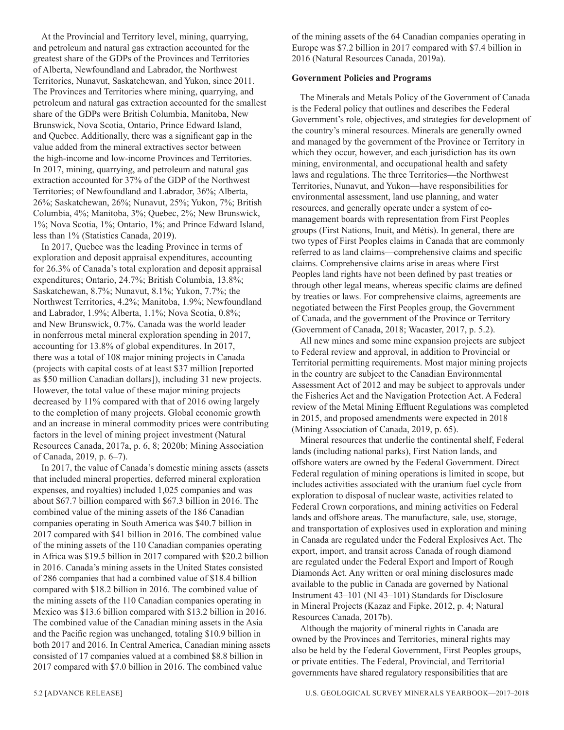At the Provincial and Territory level, mining, quarrying, and petroleum and natural gas extraction accounted for the greatest share of the GDPs of the Provinces and Territories of Alberta, Newfoundland and Labrador, the Northwest Territories, Nunavut, Saskatchewan, and Yukon, since 2011. The Provinces and Territories where mining, quarrying, and petroleum and natural gas extraction accounted for the smallest share of the GDPs were British Columbia, Manitoba, New Brunswick, Nova Scotia, Ontario, Prince Edward Island, and Quebec. Additionally, there was a significant gap in the value added from the mineral extractives sector between the high-income and low-income Provinces and Territories. In 2017, mining, quarrying, and petroleum and natural gas extraction accounted for 37% of the GDP of the Northwest Territories; of Newfoundland and Labrador, 36%; Alberta, 26%; Saskatchewan, 26%; Nunavut, 25%; Yukon, 7%; British Columbia, 4%; Manitoba, 3%; Quebec, 2%; New Brunswick, 1%; Nova Scotia, 1%; Ontario, 1%; and Prince Edward Island, less than 1% (Statistics Canada, 2019).

In 2017, Quebec was the leading Province in terms of exploration and deposit appraisal expenditures, accounting for 26.3% of Canada's total exploration and deposit appraisal expenditures; Ontario, 24.7%; British Columbia, 13.8%; Saskatchewan, 8.7%; Nunavut, 8.1%; Yukon, 7.7%; the Northwest Territories, 4.2%; Manitoba, 1.9%; Newfoundland and Labrador, 1.9%; Alberta, 1.1%; Nova Scotia, 0.8%; and New Brunswick, 0.7%. Canada was the world leader in nonferrous metal mineral exploration spending in 2017, accounting for 13.8% of global expenditures. In 2017, there was a total of 108 major mining projects in Canada (projects with capital costs of at least \$37 million [reported as \$50 million Canadian dollars]), including 31 new projects. However, the total value of these major mining projects decreased by 11% compared with that of 2016 owing largely to the completion of many projects. Global economic growth and an increase in mineral commodity prices were contributing factors in the level of mining project investment (Natural Resources Canada, 2017a, p. 6, 8; 2020b; Mining Association of Canada, 2019, p. 6–7).

In 2017, the value of Canada's domestic mining assets (assets that included mineral properties, deferred mineral exploration expenses, and royalties) included 1,025 companies and was about \$67.7 billion compared with \$67.3 billion in 2016. The combined value of the mining assets of the 186 Canadian companies operating in South America was \$40.7 billion in 2017 compared with \$41 billion in 2016. The combined value of the mining assets of the 110 Canadian companies operating in Africa was \$19.5 billion in 2017 compared with \$20.2 billion in 2016. Canada's mining assets in the United States consisted of 286 companies that had a combined value of \$18.4 billion compared with \$18.2 billion in 2016. The combined value of the mining assets of the 110 Canadian companies operating in Mexico was \$13.6 billion compared with \$13.2 billion in 2016. The combined value of the Canadian mining assets in the Asia and the Pacific region was unchanged, totaling \$10.9 billion in both 2017 and 2016. In Central America, Canadian mining assets consisted of 17 companies valued at a combined \$8.8 billion in 2017 compared with \$7.0 billion in 2016. The combined value

of the mining assets of the 64 Canadian companies operating in Europe was \$7.2 billion in 2017 compared with \$7.4 billion in 2016 (Natural Resources Canada, 2019a).

# **Government Policies and Programs**

The Minerals and Metals Policy of the Government of Canada is the Federal policy that outlines and describes the Federal Government's role, objectives, and strategies for development of the country's mineral resources. Minerals are generally owned and managed by the government of the Province or Territory in which they occur, however, and each jurisdiction has its own mining, environmental, and occupational health and safety laws and regulations. The three Territories—the Northwest Territories, Nunavut, and Yukon—have responsibilities for environmental assessment, land use planning, and water resources, and generally operate under a system of comanagement boards with representation from First Peoples groups (First Nations, Inuit, and Métis). In general, there are two types of First Peoples claims in Canada that are commonly referred to as land claims—comprehensive claims and specific claims. Comprehensive claims arise in areas where First Peoples land rights have not been defined by past treaties or through other legal means, whereas specific claims are defined by treaties or laws. For comprehensive claims, agreements are negotiated between the First Peoples group, the Government of Canada, and the government of the Province or Territory (Government of Canada, 2018; Wacaster, 2017, p. 5.2).

All new mines and some mine expansion projects are subject to Federal review and approval, in addition to Provincial or Territorial permitting requirements. Most major mining projects in the country are subject to the Canadian Environmental Assessment Act of 2012 and may be subject to approvals under the Fisheries Act and the Navigation Protection Act. A Federal review of the Metal Mining Effluent Regulations was completed in 2015, and proposed amendments were expected in 2018 (Mining Association of Canada, 2019, p. 65).

Mineral resources that underlie the continental shelf, Federal lands (including national parks), First Nation lands, and offshore waters are owned by the Federal Government. Direct Federal regulation of mining operations is limited in scope, but includes activities associated with the uranium fuel cycle from exploration to disposal of nuclear waste, activities related to Federal Crown corporations, and mining activities on Federal lands and offshore areas. The manufacture, sale, use, storage, and transportation of explosives used in exploration and mining in Canada are regulated under the Federal Explosives Act. The export, import, and transit across Canada of rough diamond are regulated under the Federal Export and Import of Rough Diamonds Act. Any written or oral mining disclosures made available to the public in Canada are governed by National Instrument 43–101 (NI 43–101) Standards for Disclosure in Mineral Projects (Kazaz and Fipke, 2012, p. 4; Natural Resources Canada, 2017b).

Although the majority of mineral rights in Canada are owned by the Provinces and Territories, mineral rights may also be held by the Federal Government, First Peoples groups, or private entities. The Federal, Provincial, and Territorial governments have shared regulatory responsibilities that are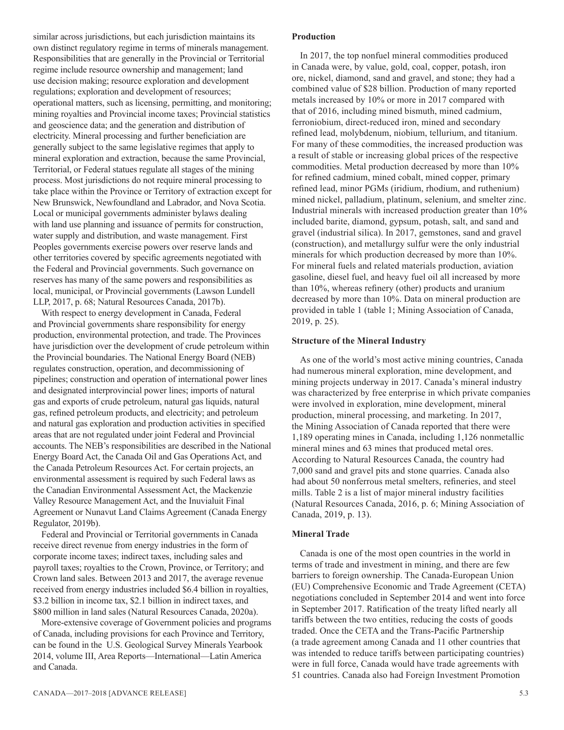similar across jurisdictions, but each jurisdiction maintains its own distinct regulatory regime in terms of minerals management. Responsibilities that are generally in the Provincial or Territorial regime include resource ownership and management; land use decision making; resource exploration and development regulations; exploration and development of resources; operational matters, such as licensing, permitting, and monitoring; mining royalties and Provincial income taxes; Provincial statistics and geoscience data; and the generation and distribution of electricity. Mineral processing and further beneficiation are generally subject to the same legislative regimes that apply to mineral exploration and extraction, because the same Provincial, Territorial, or Federal statues regulate all stages of the mining process. Most jurisdictions do not require mineral processing to take place within the Province or Territory of extraction except for New Brunswick, Newfoundland and Labrador, and Nova Scotia. Local or municipal governments administer bylaws dealing with land use planning and issuance of permits for construction, water supply and distribution, and waste management. First Peoples governments exercise powers over reserve lands and other territories covered by specific agreements negotiated with the Federal and Provincial governments. Such governance on reserves has many of the same powers and responsibilities as local, municipal, or Provincial governments (Lawson Lundell LLP, 2017, p. 68; Natural Resources Canada, 2017b).

With respect to energy development in Canada, Federal and Provincial governments share responsibility for energy production, environmental protection, and trade. The Provinces have jurisdiction over the development of crude petroleum within the Provincial boundaries. The National Energy Board (NEB) regulates construction, operation, and decommissioning of pipelines; construction and operation of international power lines and designated interprovincial power lines; imports of natural gas and exports of crude petroleum, natural gas liquids, natural gas, refined petroleum products, and electricity; and petroleum and natural gas exploration and production activities in specified areas that are not regulated under joint Federal and Provincial accounts. The NEB's responsibilities are described in the National Energy Board Act, the Canada Oil and Gas Operations Act, and the Canada Petroleum Resources Act. For certain projects, an environmental assessment is required by such Federal laws as the Canadian Environmental Assessment Act, the Mackenzie Valley Resource Management Act, and the Inuvialuit Final Agreement or Nunavut Land Claims Agreement (Canada Energy Regulator, 2019b).

Federal and Provincial or Territorial governments in Canada receive direct revenue from energy industries in the form of corporate income taxes; indirect taxes, including sales and payroll taxes; royalties to the Crown, Province, or Territory; and Crown land sales. Between 2013 and 2017, the average revenue received from energy industries included \$6.4 billion in royalties, \$3.2 billion in income tax, \$2.1 billion in indirect taxes, and \$800 million in land sales (Natural Resources Canada, 2020a).

More-extensive coverage of Government policies and programs of Canada, including provisions for each Province and Territory, can be found in the U.S. Geological Survey Minerals Yearbook 2014, volume III, Area Reports—International—Latin America

# **Production**

In 2017, the top nonfuel mineral commodities produced in Canada were, by value, gold, coal, copper, potash, iron ore, nickel, diamond, sand and gravel, and stone; they had a combined value of \$28 billion. Production of many reported metals increased by 10% or more in 2017 compared with that of 2016, including mined bismuth, mined cadmium, ferroniobium, direct-reduced iron, mined and secondary refined lead, molybdenum, niobium, tellurium, and titanium. For many of these commodities, the increased production was a result of stable or increasing global prices of the respective commodities. Metal production decreased by more than 10% for refined cadmium, mined cobalt, mined copper, primary refined lead, minor PGMs (iridium, rhodium, and ruthenium) mined nickel, palladium, platinum, selenium, and smelter zinc. Industrial minerals with increased production greater than 10% included barite, diamond, gypsum, potash, salt, and sand and gravel (industrial silica). In 2017, gemstones, sand and gravel (construction), and metallurgy sulfur were the only industrial minerals for which production decreased by more than 10%. For mineral fuels and related materials production, aviation gasoline, diesel fuel, and heavy fuel oil all increased by more than 10%, whereas refinery (other) products and uranium decreased by more than 10%. Data on mineral production are provided in table 1 (table 1; Mining Association of Canada, 2019, p. 25).

# **Structure of the Mineral Industry**

As one of the world's most active mining countries, Canada had numerous mineral exploration, mine development, and mining projects underway in 2017. Canada's mineral industry was characterized by free enterprise in which private companies were involved in exploration, mine development, mineral production, mineral processing, and marketing. In 2017, the Mining Association of Canada reported that there were 1,189 operating mines in Canada, including 1,126 nonmetallic mineral mines and 63 mines that produced metal ores. According to Natural Resources Canada, the country had 7,000 sand and gravel pits and stone quarries. Canada also had about 50 nonferrous metal smelters, refineries, and steel mills. Table 2 is a list of major mineral industry facilities (Natural Resources Canada, 2016, p. 6; Mining Association of Canada, 2019, p. 13).

#### **Mineral Trade**

Canada is one of the most open countries in the world in terms of trade and investment in mining, and there are few barriers to foreign ownership. The Canada-European Union (EU) Comprehensive Economic and Trade Agreement (CETA) negotiations concluded in September 2014 and went into force in September 2017. Ratification of the treaty lifted nearly all tariffs between the two entities, reducing the costs of goods traded. Once the CETA and the Trans-Pacific Partnership (a trade agreement among Canada and 11 other countries that was intended to reduce tariffs between participating countries) were in full force, Canada would have trade agreements with 51 countries. Canada also had Foreign Investment Promotion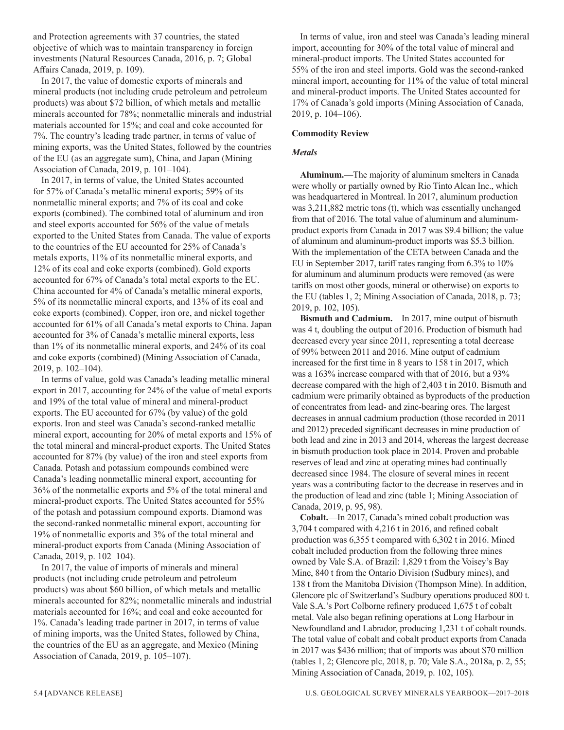and Protection agreements with 37 countries, the stated objective of which was to maintain transparency in foreign investments (Natural Resources Canada, 2016, p. 7; Global Affairs Canada, 2019, p. 109).

In 2017, the value of domestic exports of minerals and mineral products (not including crude petroleum and petroleum products) was about \$72 billion, of which metals and metallic minerals accounted for 78%; nonmetallic minerals and industrial materials accounted for 15%; and coal and coke accounted for 7%. The country's leading trade partner, in terms of value of mining exports, was the United States, followed by the countries of the EU (as an aggregate sum), China, and Japan (Mining Association of Canada, 2019, p. 101–104).

In 2017, in terms of value, the United States accounted for 57% of Canada's metallic mineral exports; 59% of its nonmetallic mineral exports; and 7% of its coal and coke exports (combined). The combined total of aluminum and iron and steel exports accounted for 56% of the value of metals exported to the United States from Canada. The value of exports to the countries of the EU accounted for 25% of Canada's metals exports, 11% of its nonmetallic mineral exports, and 12% of its coal and coke exports (combined). Gold exports accounted for 67% of Canada's total metal exports to the EU. China accounted for 4% of Canada's metallic mineral exports, 5% of its nonmetallic mineral exports, and 13% of its coal and coke exports (combined). Copper, iron ore, and nickel together accounted for 61% of all Canada's metal exports to China. Japan accounted for 3% of Canada's metallic mineral exports, less than 1% of its nonmetallic mineral exports, and 24% of its coal and coke exports (combined) (Mining Association of Canada, 2019, p. 102-104).

In terms of value, gold was Canada's leading metallic mineral export in 2017, accounting for 24% of the value of metal exports and 19% of the total value of mineral and mineral-product exports. The EU accounted for 67% (by value) of the gold exports. Iron and steel was Canada's second-ranked metallic mineral export, accounting for 20% of metal exports and 15% of the total mineral and mineral-product exports. The United States accounted for 87% (by value) of the iron and steel exports from Canada. Potash and potassium compounds combined were Canada's leading nonmetallic mineral export, accounting for 36% of the nonmetallic exports and 5% of the total mineral and mineral-product exports. The United States accounted for 55% of the potash and potassium compound exports. Diamond was the second-ranked nonmetallic mineral export, accounting for 19% of nonmetallic exports and 3% of the total mineral and mineral-product exports from Canada (Mining Association of Canada, 2019, p. 102–104).

In 2017, the value of imports of minerals and mineral products (not including crude petroleum and petroleum products) was about \$60 billion, of which metals and metallic minerals accounted for 82%; nonmetallic minerals and industrial materials accounted for 16%; and coal and coke accounted for 1%. Canada's leading trade partner in 2017, in terms of value of mining imports, was the United States, followed by China, the countries of the EU as an aggregate, and Mexico (Mining Association of Canada, 2019, p. 105–107).

In terms of value, iron and steel was Canada's leading mineral import, accounting for 30% of the total value of mineral and mineral-product imports. The United States accounted for 55% of the iron and steel imports. Gold was the second-ranked mineral import, accounting for 11% of the value of total mineral and mineral-product imports. The United States accounted for 17% of Canada's gold imports (Mining Association of Canada, 2019, p. 104–106).

# **Commodity Review**

# *Metals*

**Aluminum.**—The majority of aluminum smelters in Canada were wholly or partially owned by Rio Tinto Alcan Inc., which was headquartered in Montreal. In 2017, aluminum production was 3,211,882 metric tons (t), which was essentially unchanged from that of 2016. The total value of aluminum and aluminumproduct exports from Canada in 2017 was \$9.4 billion; the value of aluminum and aluminum-product imports was \$5.3 billion. With the implementation of the CETA between Canada and the EU in September 2017, tariff rates ranging from 6.3% to 10% for aluminum and aluminum products were removed (as were tariffs on most other goods, mineral or otherwise) on exports to the EU (tables 1, 2; Mining Association of Canada, 2018, p. 73; 2019, p. 102, 105).

**Bismuth and Cadmium.**—In 2017, mine output of bismuth was 4 t, doubling the output of 2016. Production of bismuth had decreased every year since 2011, representing a total decrease of 99% between 2011 and 2016. Mine output of cadmium increased for the first time in 8 years to 158 t in 2017, which was a 163% increase compared with that of 2016, but a 93% decrease compared with the high of 2,403 t in 2010. Bismuth and cadmium were primarily obtained as byproducts of the production of concentrates from lead- and zinc-bearing ores. The largest decreases in annual cadmium production (those recorded in 2011 and 2012) preceded significant decreases in mine production of both lead and zinc in 2013 and 2014, whereas the largest decrease in bismuth production took place in 2014. Proven and probable reserves of lead and zinc at operating mines had continually decreased since 1984. The closure of several mines in recent years was a contributing factor to the decrease in reserves and in the production of lead and zinc (table 1; Mining Association of Canada, 2019, p. 95, 98).

**Cobalt.**—In 2017, Canada's mined cobalt production was 3,704 t compared with 4,216 t in 2016, and refined cobalt production was 6,355 t compared with 6,302 t in 2016. Mined cobalt included production from the following three mines owned by Vale S.A. of Brazil: 1,829 t from the Voisey's Bay Mine, 840 t from the Ontario Division (Sudbury mines), and 138 t from the Manitoba Division (Thompson Mine). In addition, Glencore plc of Switzerland's Sudbury operations produced 800 t. Vale S.A.'s Port Colborne refinery produced 1,675 t of cobalt metal. Vale also began refining operations at Long Harbour in Newfoundland and Labrador, producing 1,231 t of cobalt rounds. The total value of cobalt and cobalt product exports from Canada in 2017 was \$436 million; that of imports was about \$70 million (tables 1, 2; Glencore plc, 2018, p. 70; Vale S.A., 2018a, p. 2, 55; Mining Association of Canada, 2019, p. 102, 105).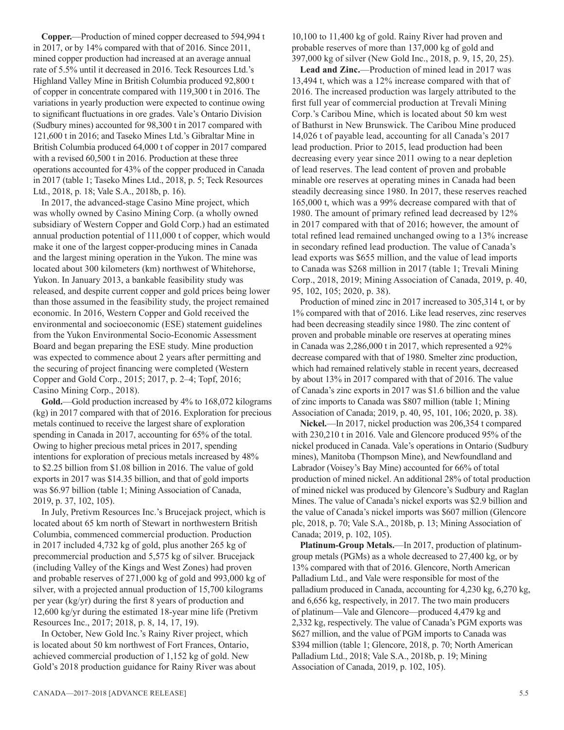**Copper.**—Production of mined copper decreased to 594,994 t in 2017, or by 14% compared with that of 2016. Since 2011, mined copper production had increased at an average annual rate of 5.5% until it decreased in 2016. Teck Resources Ltd.'s Highland Valley Mine in British Columbia produced 92,800 t of copper in concentrate compared with 119,300 t in 2016. The variations in yearly production were expected to continue owing to significant fluctuations in ore grades. Vale's Ontario Division (Sudbury mines) accounted for 98,300 t in 2017 compared with 121,600 t in 2016; and Taseko Mines Ltd.'s Gibraltar Mine in British Columbia produced 64,000 t of copper in 2017 compared with a revised 60,500 t in 2016. Production at these three operations accounted for 43% of the copper produced in Canada in 2017 (table 1; Taseko Mines Ltd., 2018, p. 5; Teck Resources Ltd., 2018, p. 18; Vale S.A., 2018b, p. 16).

In 2017, the advanced-stage Casino Mine project, which was wholly owned by Casino Mining Corp. (a wholly owned subsidiary of Western Copper and Gold Corp.) had an estimated annual production potential of 111,000 t of copper, which would make it one of the largest copper-producing mines in Canada and the largest mining operation in the Yukon. The mine was located about 300 kilometers (km) northwest of Whitehorse, Yukon. In January 2013, a bankable feasibility study was released, and despite current copper and gold prices being lower than those assumed in the feasibility study, the project remained economic. In 2016, Western Copper and Gold received the environmental and socioeconomic (ESE) statement guidelines from the Yukon Environmental Socio-Economic Assessment Board and began preparing the ESE study. Mine production was expected to commence about 2 years after permitting and the securing of project financing were completed (Western Copper and Gold Corp., 2015; 2017, p. 2–4; Topf, 2016; Casino Mining Corp., 2018).

**Gold.**—Gold production increased by 4% to 168,072 kilograms (kg) in 2017 compared with that of 2016. Exploration for precious metals continued to receive the largest share of exploration spending in Canada in 2017, accounting for 65% of the total. Owing to higher precious metal prices in 2017, spending intentions for exploration of precious metals increased by 48% to \$2.25 billion from \$1.08 billion in 2016. The value of gold exports in 2017 was \$14.35 billion, and that of gold imports was \$6.97 billion (table 1; Mining Association of Canada, 2019, p. 37, 102, 105).

In July, Pretivm Resources Inc.'s Brucejack project, which is located about 65 km north of Stewart in northwestern British Columbia, commenced commercial production. Production in 2017 included 4,732 kg of gold, plus another 265 kg of precommercial production and 5,575 kg of silver. Brucejack (including Valley of the Kings and West Zones) had proven and probable reserves of 271,000 kg of gold and 993,000 kg of silver, with a projected annual production of 15,700 kilograms per year (kg/yr) during the first 8 years of production and 12,600 kg/yr during the estimated 18-year mine life (Pretivm Resources Inc., 2017; 2018, p. 8, 14, 17, 19).

In October, New Gold Inc.'s Rainy River project, which is located about 50 km northwest of Fort Frances, Ontario, achieved commercial production of 1,152 kg of gold. New Gold's 2018 production guidance for Rainy River was about

10,100 to 11,400 kg of gold. Rainy River had proven and probable reserves of more than 137,000 kg of gold and 397,000 kg of silver (New Gold Inc., 2018, p. 9, 15, 20, 25).

**Lead and Zinc.**—Production of mined lead in 2017 was 13,494 t, which was a 12% increase compared with that of 2016. The increased production was largely attributed to the first full year of commercial production at Trevali Mining Corp.'s Caribou Mine, which is located about 50 km west of Bathurst in New Brunswick. The Caribou Mine produced 14,026 t of payable lead, accounting for all Canada's 2017 lead production. Prior to 2015, lead production had been decreasing every year since 2011 owing to a near depletion of lead reserves. The lead content of proven and probable minable ore reserves at operating mines in Canada had been steadily decreasing since 1980. In 2017, these reserves reached 165,000 t, which was a 99% decrease compared with that of 1980. The amount of primary refined lead decreased by 12% in 2017 compared with that of 2016; however, the amount of total refined lead remained unchanged owing to a 13% increase in secondary refined lead production. The value of Canada's lead exports was \$655 million, and the value of lead imports to Canada was \$268 million in 2017 (table 1; Trevali Mining Corp., 2018, 2019; Mining Association of Canada, 2019, p. 40, 95, 102, 105; 2020, p. 38).

Production of mined zinc in 2017 increased to 305,314 t, or by 1% compared with that of 2016. Like lead reserves, zinc reserves had been decreasing steadily since 1980. The zinc content of proven and probable minable ore reserves at operating mines in Canada was 2,286,000 t in 2017, which represented a 92% decrease compared with that of 1980. Smelter zinc production, which had remained relatively stable in recent years, decreased by about 13% in 2017 compared with that of 2016. The value of Canada's zinc exports in 2017 was \$1.6 billion and the value of zinc imports to Canada was \$807 million (table 1; Mining Association of Canada; 2019, p. 40, 95, 101, 106; 2020, p. 38).

**Nickel.**—In 2017, nickel production was 206,354 t compared with 230,210 t in 2016. Vale and Glencore produced 95% of the nickel produced in Canada. Vale's operations in Ontario (Sudbury mines), Manitoba (Thompson Mine), and Newfoundland and Labrador (Voisey's Bay Mine) accounted for 66% of total production of mined nickel. An additional 28% of total production of mined nickel was produced by Glencore's Sudbury and Raglan Mines. The value of Canada's nickel exports was \$2.9 billion and the value of Canada's nickel imports was \$607 million (Glencore plc, 2018, p. 70; Vale S.A., 2018b, p. 13; Mining Association of Canada; 2019, p. 102, 105).

**Platinum-Group Metals.**—In 2017, production of platinumgroup metals (PGMs) as a whole decreased to 27,400 kg, or by 13% compared with that of 2016. Glencore, North American Palladium Ltd., and Vale were responsible for most of the palladium produced in Canada, accounting for 4,230 kg, 6,270 kg, and 6,656 kg, respectively, in 2017. The two main producers of platinum—Vale and Glencore—produced 4,479 kg and 2,332 kg, respectively. The value of Canada's PGM exports was \$627 million, and the value of PGM imports to Canada was \$394 million (table 1; Glencore, 2018, p. 70; North American Palladium Ltd., 2018; Vale S.A., 2018b, p. 19; Mining Association of Canada, 2019, p. 102, 105).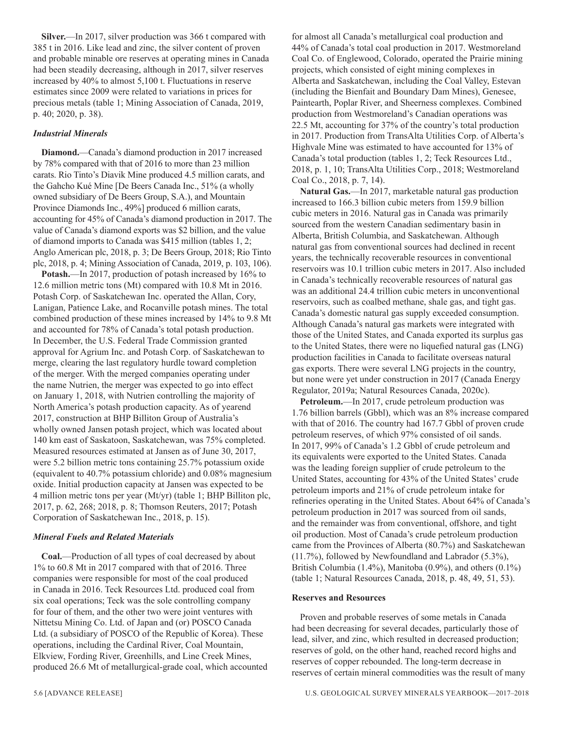**Silver.**—In 2017, silver production was 366 t compared with 385 t in 2016. Like lead and zinc, the silver content of proven and probable minable ore reserves at operating mines in Canada had been steadily decreasing, although in 2017, silver reserves increased by 40% to almost 5,100 t. Fluctuations in reserve estimates since 2009 were related to variations in prices for precious metals (table 1; Mining Association of Canada, 2019, p. 40; 2020, p. 38).

# *Industrial Minerals*

**Diamond.**—Canada's diamond production in 2017 increased by 78% compared with that of 2016 to more than 23 million carats. Rio Tinto's Diavik Mine produced 4.5 million carats, and the Gahcho Kué Mine [De Beers Canada Inc., 51% (a wholly owned subsidiary of De Beers Group, S.A.), and Mountain Province Diamonds Inc., 49%] produced 6 million carats, accounting for 45% of Canada's diamond production in 2017. The value of Canada's diamond exports was \$2 billion, and the value of diamond imports to Canada was \$415 million (tables 1, 2; Anglo American plc, 2018, p. 3; De Beers Group, 2018; Rio Tinto plc, 2018, p. 4; Mining Association of Canada, 2019, p. 103, 106).

**Potash.**—In 2017, production of potash increased by 16% to 12.6 million metric tons (Mt) compared with 10.8 Mt in 2016. Potash Corp. of Saskatchewan Inc. operated the Allan, Cory, Lanigan, Patience Lake, and Rocanville potash mines. The total combined production of these mines increased by 14% to 9.8 Mt and accounted for 78% of Canada's total potash production. In December, the U.S. Federal Trade Commission granted approval for Agrium Inc. and Potash Corp. of Saskatchewan to merge, clearing the last regulatory hurdle toward completion of the merger. With the merged companies operating under the name Nutrien, the merger was expected to go into effect on January 1, 2018, with Nutrien controlling the majority of North America's potash production capacity. As of yearend 2017, construction at BHP Billiton Group of Australia's wholly owned Jansen potash project, which was located about 140 km east of Saskatoon, Saskatchewan, was 75% completed. Measured resources estimated at Jansen as of June 30, 2017, were 5.2 billion metric tons containing 25.7% potassium oxide (equivalent to 40.7% potassium chloride) and 0.08% magnesium oxide. Initial production capacity at Jansen was expected to be 4 million metric tons per year (Mt/yr) (table 1; BHP Billiton plc, 2017, p. 62, 268; 2018, p. 8; Thomson Reuters, 2017; Potash Corporation of Saskatchewan Inc., 2018, p. 15).

# *Mineral Fuels and Related Materials*

**Coal.**—Production of all types of coal decreased by about 1% to 60.8 Mt in 2017 compared with that of 2016. Three companies were responsible for most of the coal produced in Canada in 2016. Teck Resources Ltd. produced coal from six coal operations; Teck was the sole controlling company for four of them, and the other two were joint ventures with Nittetsu Mining Co. Ltd. of Japan and (or) POSCO Canada Ltd. (a subsidiary of POSCO of the Republic of Korea). These operations, including the Cardinal River, Coal Mountain, Elkview, Fording River, Greenhills, and Line Creek Mines, produced 26.6 Mt of metallurgical-grade coal, which accounted for almost all Canada's metallurgical coal production and 44% of Canada's total coal production in 2017. Westmoreland Coal Co. of Englewood, Colorado, operated the Prairie mining projects, which consisted of eight mining complexes in Alberta and Saskatchewan, including the Coal Valley, Estevan (including the Bienfait and Boundary Dam Mines), Genesee, Paintearth, Poplar River, and Sheerness complexes. Combined production from Westmoreland's Canadian operations was 22.5 Mt, accounting for 37% of the country's total production in 2017. Production from TransAlta Utilities Corp. of Alberta's Highvale Mine was estimated to have accounted for 13% of Canada's total production (tables 1, 2; Teck Resources Ltd., 2018, p. 1, 10; TransAlta Utilities Corp., 2018; Westmoreland Coal Co., 2018, p. 7, 14).

**Natural Gas.**—In 2017, marketable natural gas production increased to 166.3 billion cubic meters from 159.9 billion cubic meters in 2016. Natural gas in Canada was primarily sourced from the western Canadian sedimentary basin in Alberta, British Columbia, and Saskatchewan. Although natural gas from conventional sources had declined in recent years, the technically recoverable resources in conventional reservoirs was 10.1 trillion cubic meters in 2017. Also included in Canada's technically recoverable resources of natural gas was an additional 24.4 trillion cubic meters in unconventional reservoirs, such as coalbed methane, shale gas, and tight gas. Canada's domestic natural gas supply exceeded consumption. Although Canada's natural gas markets were integrated with those of the United States, and Canada exported its surplus gas to the United States, there were no liquefied natural gas (LNG) production facilities in Canada to facilitate overseas natural gas exports. There were several LNG projects in the country, but none were yet under construction in 2017 (Canada Energy Regulator, 2019a; Natural Resources Canada, 2020c).

**Petroleum.**—In 2017, crude petroleum production was 1.76 billion barrels (Gbbl), which was an 8% increase compared with that of 2016. The country had 167.7 Gbbl of proven crude petroleum reserves, of which 97% consisted of oil sands. In 2017, 99% of Canada's 1.2 Gbbl of crude petroleum and its equivalents were exported to the United States. Canada was the leading foreign supplier of crude petroleum to the United States, accounting for 43% of the United States' crude petroleum imports and 21% of crude petroleum intake for refineries operating in the United States. About 64% of Canada's petroleum production in 2017 was sourced from oil sands, and the remainder was from conventional, offshore, and tight oil production. Most of Canada's crude petroleum production came from the Provinces of Alberta (80.7%) and Saskatchewan (11.7%), followed by Newfoundland and Labrador (5.3%), British Columbia (1.4%), Manitoba (0.9%), and others (0.1%) (table 1; Natural Resources Canada, 2018, p. 48, 49, 51, 53).

# **Reserves and Resources**

Proven and probable reserves of some metals in Canada had been decreasing for several decades, particularly those of lead, silver, and zinc, which resulted in decreased production; reserves of gold, on the other hand, reached record highs and reserves of copper rebounded. The long-term decrease in reserves of certain mineral commodities was the result of many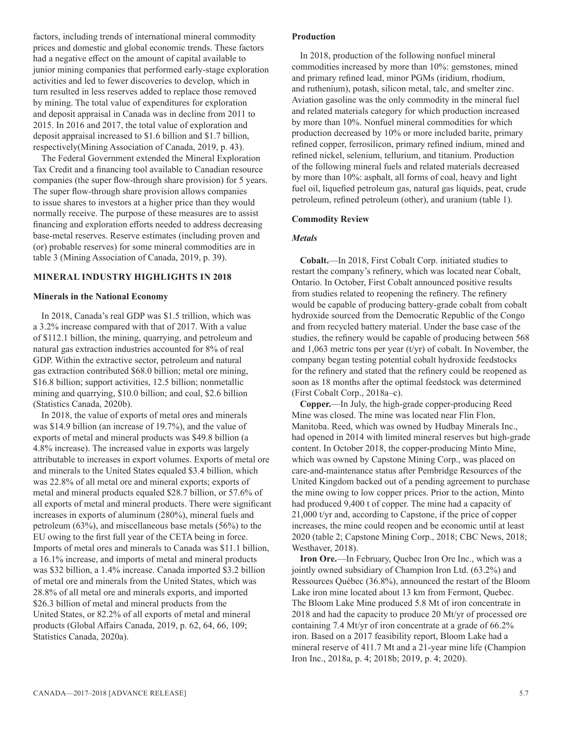factors, including trends of international mineral commodity prices and domestic and global economic trends. These factors had a negative effect on the amount of capital available to junior mining companies that performed early-stage exploration activities and led to fewer discoveries to develop, which in turn resulted in less reserves added to replace those removed by mining. The total value of expenditures for exploration and deposit appraisal in Canada was in decline from 2011 to 2015. In 2016 and 2017, the total value of exploration and deposit appraisal increased to \$1.6 billion and \$1.7 billion, respectively(Mining Association of Canada, 2019, p. 43).

The Federal Government extended the Mineral Exploration Tax Credit and a financing tool available to Canadian resource companies (the super flow-through share provision) for 5 years. The super flow-through share provision allows companies to issue shares to investors at a higher price than they would normally receive. The purpose of these measures are to assist financing and exploration efforts needed to address decreasing base-metal reserves. Reserve estimates (including proven and (or) probable reserves) for some mineral commodities are in table 3 (Mining Association of Canada, 2019, p. 39).

# **MINERAL INDUSTRY HIGHLIGHTS IN 2018**

# **Minerals in the National Economy**

In 2018, Canada's real GDP was \$1.5 trillion, which was a 3.2% increase compared with that of 2017. With a value of \$112.1 billion, the mining, quarrying, and petroleum and natural gas extraction industries accounted for 8% of real GDP. Within the extractive sector, petroleum and natural gas extraction contributed \$68.0 billion; metal ore mining, \$16.8 billion; support activities, 12.5 billion; nonmetallic mining and quarrying, \$10.0 billion; and coal, \$2.6 billion (Statistics Canada, 2020b).

In 2018, the value of exports of metal ores and minerals was \$14.9 billion (an increase of 19.7%), and the value of exports of metal and mineral products was \$49.8 billion (a 4.8% increase). The increased value in exports was largely attributable to increases in export volumes. Exports of metal ore and minerals to the United States equaled \$3.4 billion, which was 22.8% of all metal ore and mineral exports; exports of metal and mineral products equaled \$28.7 billion, or 57.6% of all exports of metal and mineral products. There were significant increases in exports of aluminum (280%), mineral fuels and petroleum (63%), and miscellaneous base metals (56%) to the EU owing to the first full year of the CETA being in force. Imports of metal ores and minerals to Canada was \$11.1 billion, a 16.1% increase, and imports of metal and mineral products was \$32 billion, a 1.4% increase. Canada imported \$3.2 billion of metal ore and minerals from the United States, which was 28.8% of all metal ore and minerals exports, and imported \$26.3 billion of metal and mineral products from the United States, or 82.2% of all exports of metal and mineral products (Global Affairs Canada, 2019, p. 62, 64, 66, 109; Statistics Canada, 2020a).

# **Production**

In 2018, production of the following nonfuel mineral commodities increased by more than 10%: gemstones, mined and primary refined lead, minor PGMs (iridium, rhodium, and ruthenium), potash, silicon metal, talc, and smelter zinc. Aviation gasoline was the only commodity in the mineral fuel and related materials category for which production increased by more than 10%. Nonfuel mineral commodities for which production decreased by 10% or more included barite, primary refined copper, ferrosilicon, primary refined indium, mined and refined nickel, selenium, tellurium, and titanium. Production of the following mineral fuels and related materials decreased by more than 10%: asphalt, all forms of coal, heavy and light fuel oil, liquefied petroleum gas, natural gas liquids, peat, crude petroleum, refined petroleum (other), and uranium (table 1).

#### **Commodity Review**

# *Metals*

**Cobalt.**—In 2018, First Cobalt Corp. initiated studies to restart the company's refinery, which was located near Cobalt, Ontario. In October, First Cobalt announced positive results from studies related to reopening the refinery. The refinery would be capable of producing battery-grade cobalt from cobalt hydroxide sourced from the Democratic Republic of the Congo and from recycled battery material. Under the base case of the studies, the refinery would be capable of producing between 568 and 1,063 metric tons per year (t/yr) of cobalt. In November, the company began testing potential cobalt hydroxide feedstocks for the refinery and stated that the refinery could be reopened as soon as 18 months after the optimal feedstock was determined (First Cobalt Corp., 2018a–c).

**Copper.**—In July, the high-grade copper-producing Reed Mine was closed. The mine was located near Flin Flon, Manitoba. Reed, which was owned by Hudbay Minerals Inc., had opened in 2014 with limited mineral reserves but high-grade content. In October 2018, the copper-producing Minto Mine, which was owned by Capstone Mining Corp., was placed on care-and-maintenance status after Pembridge Resources of the United Kingdom backed out of a pending agreement to purchase the mine owing to low copper prices. Prior to the action, Minto had produced 9,400 t of copper. The mine had a capacity of 21,000 t/yr and, according to Capstone, if the price of copper increases, the mine could reopen and be economic until at least 2020 (table 2; Capstone Mining Corp., 2018; CBC News, 2018; Westhaver, 2018).

**Iron Ore.**—In February, Quebec Iron Ore Inc., which was a jointly owned subsidiary of Champion Iron Ltd. (63.2%) and Ressources Québec (36.8%), announced the restart of the Bloom Lake iron mine located about 13 km from Fermont, Quebec. The Bloom Lake Mine produced 5.8 Mt of iron concentrate in 2018 and had the capacity to produce 20 Mt/yr of processed ore containing 7.4 Mt/yr of iron concentrate at a grade of 66.2% iron. Based on a 2017 feasibility report, Bloom Lake had a mineral reserve of 411.7 Mt and a 21-year mine life (Champion Iron Inc., 2018a, p. 4; 2018b; 2019, p. 4; 2020).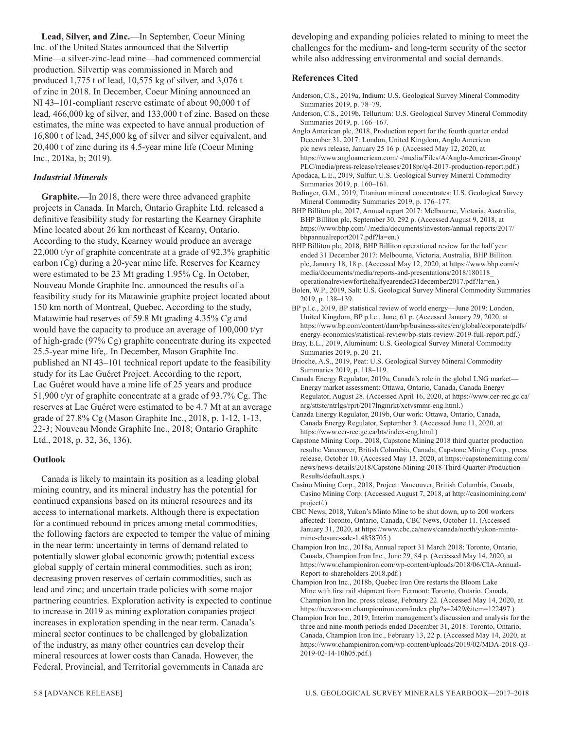**Lead, Silver, and Zinc.**—In September, Coeur Mining Inc. of the United States announced that the Silvertip Mine—a silver-zinc-lead mine—had commenced commercial production. Silvertip was commissioned in March and produced 1,775 t of lead, 10,575 kg of silver, and 3,076 t of zinc in 2018. In December, Coeur Mining announced an NI 43–101-compliant reserve estimate of about 90,000 t of lead, 466,000 kg of silver, and 133,000 t of zinc. Based on these estimates, the mine was expected to have annual production of 16,800 t of lead, 345,000 kg of silver and silver equivalent, and 20,400 t of zinc during its 4.5-year mine life (Coeur Mining Inc., 2018a, b; 2019).

# *Industrial Minerals*

**Graphite.**—In 2018, there were three advanced graphite projects in Canada. In March, Ontario Graphite Ltd. released a definitive feasibility study for restarting the Kearney Graphite Mine located about 26 km northeast of Kearny, Ontario. According to the study, Kearney would produce an average 22,000 t/yr of graphite concentrate at a grade of 92.3% graphitic carbon (Cg) during a 20-year mine life. Reserves for Kearney were estimated to be 23 Mt grading 1.95% Cg. In October, Nouveau Monde Graphite Inc. announced the results of a feasibility study for its Matawinie graphite project located about 150 km north of Montreal, Quebec. According to the study, Matawinie had reserves of 59.8 Mt grading 4.35% Cg and would have the capacity to produce an average of 100,000 t/yr of high-grade (97% Cg) graphite concentrate during its expected 25.5-year mine life,. In December, Mason Graphite Inc. published an NI 43–101 technical report update to the feasibility study for its Lac Guéret Project. According to the report, Lac Guéret would have a mine life of 25 years and produce 51,900 t/yr of graphite concentrate at a grade of 93.7% Cg. The reserves at Lac Guéret were estimated to be 4.7 Mt at an average grade of 27.8% Cg (Mason Graphite Inc., 2018, p. 1-12, 1-13, 22-3; Nouveau Monde Graphite Inc., 2018; Ontario Graphite Ltd., 2018, p. 32, 36, 136).

# **Outlook**

Canada is likely to maintain its position as a leading global mining country, and its mineral industry has the potential for continued expansions based on its mineral resources and its access to international markets. Although there is expectation for a continued rebound in prices among metal commodities, the following factors are expected to temper the value of mining in the near term: uncertainty in terms of demand related to potentially slower global economic growth; potential excess global supply of certain mineral commodities, such as iron; decreasing proven reserves of certain commodities, such as lead and zinc; and uncertain trade policies with some major partnering countries. Exploration activity is expected to continue to increase in 2019 as mining exploration companies project increases in exploration spending in the near term. Canada's mineral sector continues to be challenged by globalization of the industry, as many other countries can develop their mineral resources at lower costs than Canada. However, the Federal, Provincial, and Territorial governments in Canada are

developing and expanding policies related to mining to meet the challenges for the medium- and long-term security of the sector while also addressing environmental and social demands.

# **References Cited**

- Anderson, C.S., 2019a, Indium: U.S. Geological Survey Mineral Commodity Summaries 2019, p. 78–79.
- Anderson, C.S., 2019b, Tellurium: U.S. Geological Survey Mineral Commodity Summaries 2019, p. 166–167.
- Anglo American plc, 2018, Production report for the fourth quarter ended December 31, 2017: London, United Kingdom, Anglo American plc news release, January 25 16 p. (Accessed May 12, 2020, at https://www.angloamerican.com/~/media/Files/A/Anglo-American-Group/ PLC/media/press-release/releases/2018pr/q4-2017-production-report.pdf.)
- Apodaca, L.E., 2019, Sulfur: U.S. Geological Survey Mineral Commodity Summaries 2019, p. 160–161.
- Bedinger, G.M., 2019, Titanium mineral concentrates: U.S. Geological Survey Mineral Commodity Summaries 2019, p. 176–177.
- BHP Billiton plc, 2017, Annual report 2017: Melbourne, Victoria, Australia, BHP Billiton plc, September 30, 292 p. (Accessed August 9, 2018, at https://www.bhp.com/-/media/documents/investors/annual-reports/2017/ bhpannualreport2017.pdf?la=en.)
- BHP Billiton plc, 2018, BHP Billiton operational review for the half year ended 31 December 2017: Melbourne, Victoria, Australia, BHP Billiton plc, January 18, 18 p. (Accessed May 12, 2020, at https://www.bhp.com/-/ media/documents/media/reports-and-presentations/2018/180118\_ operationalreviewforthehalfyearended31december2017.pdf?la=en.)
- Bolen, W.P., 2019, Salt: U.S. Geological Survey Mineral Commodity Summaries 2019, p. 138–139.
- BP p.l.c., 2019, BP statistical review of world energy—June 2019: London, United Kingdom, BP p.l.c., June, 61 p. (Accessed January 29, 2020, at https://www.bp.com/content/dam/bp/business-sites/en/global/corporate/pdfs/ energy-economics/statistical-review/bp-stats-review-2019-full-report.pdf.)
- Bray, E.L., 2019, Aluminum: U.S. Geological Survey Mineral Commodity Summaries 2019, p. 20–21.
- Brioche, A.S., 2019, Peat: U.S. Geological Survey Mineral Commodity Summaries 2019, p. 118–119.
- Canada Energy Regulator, 2019a, Canada's role in the global LNG market— Energy market assessment: Ottawa, Ontario, Canada, Canada Energy Regulator, August 28. (Accessed April 16, 2020, at https://www.cer-rec.gc.ca/ nrg/sttstc/ntrlgs/rprt/2017lngmrkt/xctvsmmr-eng.html.)
- Canada Energy Regulator, 2019b, Our work: Ottawa, Ontario, Canada, Canada Energy Regulator, September 3. (Accessed June 11, 2020, at https://www.cer-rec.gc.ca/bts/index-eng.html.)
- Capstone Mining Corp., 2018, Capstone Mining 2018 third quarter production results: Vancouver, British Columbia, Canada, Capstone Mining Corp., press release, October 10. (Accessed May 13, 2020, at https://capstonemining.com/ news/news-details/2018/Capstone-Mining-2018-Third-Quarter-Production-Results/default.aspx.)
- Casino Mining Corp., 2018, Project: Vancouver, British Columbia, Canada, Casino Mining Corp. (Accessed August 7, 2018, at http://casinomining.com/ project/.)
- CBC News, 2018, Yukon's Minto Mine to be shut down, up to 200 workers affected: Toronto, Ontario, Canada, CBC News, October 11. (Accessed January 31, 2020, at https://www.cbc.ca/news/canada/north/yukon-mintomine-closure-sale-1.4858705.)
- Champion Iron Inc., 2018a, Annual report 31 March 2018: Toronto, Ontario, Canada, Champion Iron Inc., June 29, 84 p. (Accessed May 14, 2020, at https://www.championiron.com/wp-content/uploads/2018/06/CIA-Annual-Report-to-shareholders-2018.pdf.)
- Champion Iron Inc., 2018b, Quebec Iron Ore restarts the Bloom Lake Mine with first rail shipment from Fermont: Toronto, Ontario, Canada, Champion Iron Inc. press release, February 22. (Accessed May 14, 2020, at https://newsroom.championiron.com/index.php?s=2429&item=122497.)
- Champion Iron Inc., 2019, Interim management's discussion and analysis for the three and nine-month periods ended December 31, 2018: Toronto, Ontario, Canada, Champion Iron Inc., February 13, 22 p. (Accessed May 14, 2020, at https://www.championiron.com/wp-content/uploads/2019/02/MDA-2018-Q3- 2019-02-14-10h05.pdf.)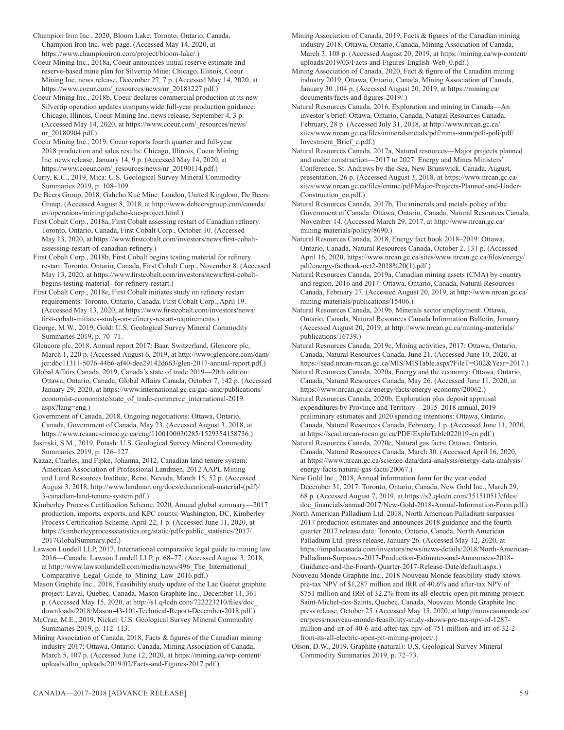Champion Iron Inc., 2020, Bloom Lake: Toronto, Ontario, Canada, Champion Iron Inc. web page. (Accessed May 14, 2020, at https://www.championiron.com/project/bloom-lake/.)

Coeur Mining Inc., 2018a, Coeur announces initial reserve estimate and reserve-based mine plan for Silvertip Mine: Chicago, Illinois, Coeur Mining Inc. news release, December 27, 7 p. (Accessed May 14, 2020, at https://www.coeur.com/\_resources/news/nr\_20181227.pdf.)

Coeur Mining Inc., 2018b, Coeur declares commercial production at its new Silvertip operation updates companywide full-year production guidance: Chicago, Illinois, Coeur Mining Inc. news release, September 4, 3 p. (Accessed May 14, 2020, at https://www.coeur.com/\_resources/news/ nr\_20180904.pdf.)

Coeur Mining Inc., 2019, Coeur reports fourth quarter and full-year 2018 production and sales results: Chicago, Illinois, Coeur Mining Inc. news release, January 14, 9 p. (Accessed May 14, 2020, at https://www.coeur.com/\_resources/news/nr\_20190114.pdf.)

Curry, K.C., 2019, Mica: U.S. Geological Survey Mineral Commodity Summaries 2019, p. 108–109.

De Beers Group, 2018, Gahcho Kué Mine: London, United Kingdom, De Beers Group. (Accessed August 8, 2018, at http://www.debeersgroup.com/canada/ en/operations/mining/gahcho-kue-project.html.)

First Cobalt Corp., 2018a, First Cobalt assessing restart of Canadian refinery: Toronto, Ontario, Canada, First Cobalt Corp., October 10. (Accessed May 13, 2020, at https://www.firstcobalt.com/investors/news/first-cobaltassessing-restart-of-canadian-refinery.)

First Cobalt Corp., 2018b, First Cobalt begins testing material for refinery restart: Toronto, Ontario, Canada, First Cobalt Corp., November 8. (Accessed May 13, 2020, at https://www.firstcobalt.com/investors/news/first-cobaltbegins-testing-material--for-refinery-restart.)

First Cobalt Corp., 2018c, First Cobalt initiates study on refinery restart requirements: Toronto, Ontario, Canada, First Cobalt Corp., April 19. (Accessed May 13, 2020, at https://www.firstcobalt.com/investors/news/ first-cobalt-initiates-study-on-refinery-restart-requirements.)

George, M.W., 2019, Gold: U.S. Geological Survey Mineral Commodity Summaries 2019, p. 70–71.

Glencore plc, 2018, Annual report 2017: Baar, Switzerland, Glencore plc, March 1, 220 p. (Accessed August 6, 2019, at http://www.glencore.com/dam/ jcr:d6c11311-5076-44b6-af40-dee29142d663/glen-2017-annual-report.pdf.)

Global Affairs Canada, 2019, Canada's state of trade 2019—20th edition: Ottawa, Ontario, Canada, Global Affairs Canada, October 7, 142 p. (Accessed January 29, 2020, at https://www.international.gc.ca/gac-amc/publications/ economist-economiste/state\_of\_trade-commerce\_international-2019. aspx?lang=eng.)

Government of Canada, 2018, Ongoing negotiations: Ottawa, Ontario, Canada, Government of Canada, May 23. (Accessed August 3, 2018, at https://www.rcaanc-cirnac.gc.ca/eng/1100100030285/1529354158736.)

Jasinski, S.M., 2019, Potash: U.S. Geological Survey Mineral Commodity Summaries 2019, p. 126–127.

Kazaz, Charles, and Fipke, Johanna, 2012, Canadian land tenure system: American Association of Professional Landmen, 2012 AAPL Mining and Land Resources Institute, Reno, Nevada, March 15, 52 p. (Accessed August 3, 2018, http://www.landman.org/docs/educational-material-(pdf)/ 3-canadian-land-tenure-system.pdf.)

Kimberley Process Certification Scheme, 2020, Annual global summary—2017 production, imports, exports, and KPC counts: Washington, DC, Kimberley Process Certification Scheme, April 22, 1 p. (Accessed June 11, 2020, at https://kimberleyprocessstatistics.org/static/pdfs/public\_statistics/2017/ 2017GlobalSummary.pdf.)

Lawson Lundell LLP, 2017, International comparative legal guide to mining law 2016—Canada: Lawson Lundell LLP, p. 68–77. (Accessed August 3, 2018, at http://www.lawsonlundell.com/media/news/496\_The\_International\_ Comparative\_Legal\_Guide\_to\_Mining\_Law\_2016.pdf.)

Mason Graphite Inc., 2018, Feasibility study update of the Lac Guéret graphite project: Laval, Quebec, Canada, Mason Graphite Inc., December 11, 361 p. (Accessed May 15, 2020, at http://s1.q4cdn.com/722223210/files/doc\_ downloads/2018/Mason-43-101-Technical-Report-December-2018.pdf.)

McCrae, M.E., 2019, Nickel: U.S. Geological Survey Mineral Commodity Summaries 2019, p. 112–113.

Mining Association of Canada, 2018, Facts & figures of the Canadian mining industry 2017; Ottawa, Ontario, Canada, Mining Association of Canada, March 5, 107 p. (Accessed June 12, 2020, at https://mining.ca/wp-content/ uploads/dlm\_uploads/2019/02/Facts-and-Figures-2017.pdf.)

Mining Association of Canada, 2019, Facts & figures of the Canadian mining industry 2018; Ottawa, Ontario, Canada, Mining Association of Canada, March 3, 108 p. (Accessed August 20, 2019, at https://mining.ca/wp-content/ uploads/2019/03/Facts-and-Figures-English-Web\_0.pdf.)

Mining Association of Canada, 2020, Fact & figure of the Canadian mining industry 2019; Ottawa, Ontario, Canada, Mining Association of Canada, January 30 ,104 p. (Accessed August 20, 2019, at https://mining.ca/ documents/facts-and-figures-2019/.)

Natural Resources Canada, 2016, Exploration and mining in Canada—An investor's brief: Ottawa, Ontario, Canada, Natural Resources Canada, February, 28 p. (Accessed July 31, 2018, at http://www.nrcan.gc.ca/ sites/www.nrcan.gc.ca/files/mineralsmetals/pdf/mms-smm/poli-poli/pdf/ Investment\_Brief\_e.pdf.)

Natural Resources Canada, 2017a, Natural resources—Major projects planned and under construction—2017 to 2027: Energy and Mines Ministers' Conference, St. Andrews by-the-Sea, New Brunswick, Canada, August, presentation, 26 p. (Accessed August 3, 2018, at https://www.nrcan.gc.ca/ sites/www.nrcan.gc.ca/files/emmc/pdf/Major-Projects-Planned-and-Under-Construction\_en.pdf.)

Natural Resources Canada, 2017b, The minerals and metals policy of the Government of Canada: Ottawa, Ontario, Canada, Natural Resources Canada, November 14. (Accessed March 29, 2017, at http://www.nrcan.gc.ca/ mining-materials/policy/8690.)

Natural Resources Canada, 2018, Energy fact book 2018–2019: Ottawa, Ontario, Canada, Natural Resources Canada, October 2, 131 p. (Accessed April 16, 2020, https://www.nrcan.gc.ca/sites/www.nrcan.gc.ca/files/energy/ pdf/energy-factbook-oct2-2018%20(1).pdf.)

Natural Resources Canada, 2019a, Canadian mining assets (CMA) by country and region, 2016 and 2017: Ottawa, Ontario, Canada, Natural Resources Canada, February 27. (Accessed August 20, 2019, at http://www.nrcan.gc.ca/ mining-materials/publications/15406.)

Natural Resources Canada, 2019b, Minerals sector employment: Ottawa, Ontario, Canada, Natural Resources Canada Information Bulletin, January. (Accessed August 20, 2019, at http://www.nrcan.gc.ca/mining-materials/ publications/16739.)

Natural Resources Canada, 2019c, Mining activities, 2017: Ottawa, Ontario, Canada, Natural Resources Canada, June 21. (Accessed June 10, 2020, at https://sead.nrcan-rncan.gc.ca/MIS/MISTable.aspx?FileT=G02&Year=2017.)

Natural Resources Canada, 2020a, Energy and the economy: Ottawa, Ontario, Canada, Natural Resources Canada, May 26. (Accessed June 11, 2020, at https://www.nrcan.gc.ca/energy/facts/energy-economy/20062.)

Natural Resources Canada, 2020b, Exploration plus deposit appraisal expenditures by Province and Territory—2015-2018 annual, 2019 preliminary estimates and 2020 spending intentions: Ottawa, Ontario, Canada, Natural Resources Canada, February, 1 p. (Accessed June 11, 2020, at https://sead.nrcan-rncan.gc.ca/PDF/ExploTable022019-en.pdf.)

Natural Resources Canada, 2020c, Natural gas facts: Ottawa, Ontario, Canada, Natural Resources Canada, March 30. (Accessed April 16, 2020, at https://www.nrcan.gc.ca/science-data/data-analysis/energy-data-analysis/ energy-facts/natural-gas-facts/20067.)

New Gold Inc., 2018, Annual information form for the year ended December 31, 2017: Toronto, Ontario, Canada, New Gold Inc., March 29, 68 p. (Accessed August 7, 2019, at https://s2.q4cdn.com/351510513/files/ doc\_financials/annual/2017/New-Gold-2018-Annual-Information-Form.pdf.)

North American Palladium Ltd. 2018, North American Palladium surpasses 2017 production estimates and announces 2018 guidance and the fourth quarter 2017 release date: Toronto, Ontario, Canada, North American Palladium Ltd. press release, January 26. (Accessed May 12, 2020, at https://impalacanada.com/investors/news/news-details/2018/North-American-Palladium-Surpasses-2017-Production-Estimates-and-Announces-2018- Guidance-and-the-Fourth-Quarter-2017-Release-Date/default.aspx.)

Nouveau Monde Graphite Inc., 2018 Nouveau Monde feasibility study shows pre-tax NPV of \$1,287 million and IRR of 40.6% and after-tax NPV of \$751 million and IRR of 32.2% from its all-electric open pit mining project: Saint-Michel-des-Saints, Quebec, Canada, Nouveau Monde Graphite Inc. press release, October 25. (Accessed May 15, 2020, at http://nouveaumonde.ca/ en/press/nouveau-monde-feasibility-study-shows-pre-tax-npv-of-1287 million-and-irr-of-40-6-and-after-tax-npv-of-751-million-and-irr-of-32-2 from-its-all-electric-open-pit-mining-project/.)

Olson, D.W., 2019, Graphite (natural): U.S. Geological Survey Mineral Commodity Summaries 2019, p. 72–73.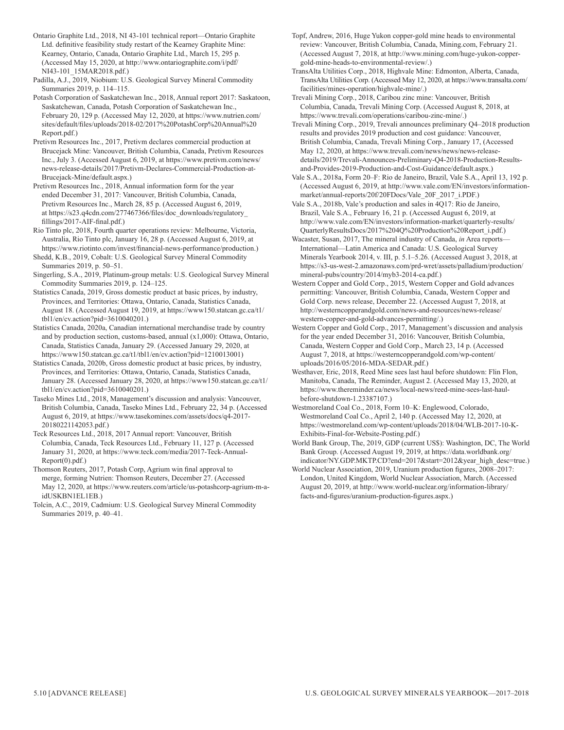Ontario Graphite Ltd., 2018, NI 43-101 technical report—Ontario Graphite Ltd. definitive feasibility study restart of the Kearney Graphite Mine: Kearney, Ontario, Canada, Ontario Graphite Ltd., March 15, 295 p. (Accessed May 15, 2020, at http://www.ontariographite.com/i/pdf/ NI43-101\_15MAR2018.pdf.)

Padilla, A.J., 2019, Niobium: U.S. Geological Survey Mineral Commodity Summaries 2019, p. 114–115.

Potash Corporation of Saskatchewan Inc., 2018, Annual report 2017: Saskatoon, Saskatchewan, Canada, Potash Corporation of Saskatchewan Inc., February 20, 129 p. (Accessed May 12, 2020, at https://www.nutrien.com/ sites/default/files/uploads/2018-02/2017%20PotashCorp%20Annual%20 Report.pdf.)

Pretivm Resources Inc., 2017, Pretivm declares commercial production at Brucejack Mine: Vancouver, British Columbia, Canada, Pretivm Resources Inc., July 3. (Accessed August 6, 2019, at https://www.pretivm.com/news/ news-release-details/2017/Pretivm-Declares-Commercial-Production-at-Brucejack-Mine/default.aspx.)

Pretivm Resources Inc., 2018, Annual information form for the year ended December 31, 2017: Vancouver, British Columbia, Canada, Pretivm Resources Inc., March 28, 85 p. (Accessed August 6, 2019, at https://s23.q4cdn.com/277467366/files/doc\_downloads/regulatory\_ fillings/2017-AIF-final.pdf.)

Rio Tinto plc, 2018, Fourth quarter operations review: Melbourne, Victoria, Australia, Rio Tinto plc, January 16, 28 p. (Accessed August 6, 2019, at https://www.riotinto.com/invest/financial-news-performance/production.)

Shedd, K.B., 2019, Cobalt: U.S. Geological Survey Mineral Commodity Summaries 2019, p. 50–51.

Singerling, S.A., 2019, Platinum-group metals: U.S. Geological Survey Mineral Commodity Summaries 2019, p. 124–125.

Statistics Canada, 2019, Gross domestic product at basic prices, by industry, Provinces, and Territories: Ottawa, Ontario, Canada, Statistics Canada, August 18. (Accessed August 19, 2019, at https://www150.statcan.gc.ca/t1/ tbl1/en/cv.action?pid=3610040201.)

Statistics Canada, 2020a, Canadian international merchandise trade by country and by production section, customs-based, annual (x1,000): Ottawa, Ontario, Canada, Statistics Canada, January 29. (Accessed January 29, 2020, at https://www150.statcan.gc.ca/t1/tbl1/en/cv.action?pid=1210013001)

Statistics Canada, 2020b, Gross domestic product at basic prices, by industry, Provinces, and Territories: Ottawa, Ontario, Canada, Statistics Canada, January 28. (Accessed January 28, 2020, at https://www150.statcan.gc.ca/t1/ tbl1/en/cv.action?pid=3610040201.)

Taseko Mines Ltd., 2018, Management's discussion and analysis: Vancouver, British Columbia, Canada, Taseko Mines Ltd., February 22, 34 p. (Accessed August 6, 2019, at https://www.tasekomines.com/assets/docs/q4-2017- 20180221142053.pdf.)

Teck Resources Ltd., 2018, 2017 Annual report: Vancouver, British Columbia, Canada, Teck Resources Ltd., February 11, 127 p. (Accessed January 31, 2020, at https://www.teck.com/media/2017-Teck-Annual-Report(0).pdf.)

Thomson Reuters, 2017, Potash Corp, Agrium win final approval to merge, forming Nutrien: Thomson Reuters, December 27. (Accessed May 12, 2020, at https://www.reuters.com/article/us-potashcorp-agrium-m-aidUSKBN1EL1EB.)

Tolcin, A.C., 2019, Cadmium: U.S. Geological Survey Mineral Commodity Summaries 2019, p. 40–41.

Topf, Andrew, 2016, Huge Yukon copper-gold mine heads to environmental review: Vancouver, British Columbia, Canada, Mining.com, February 21. (Accessed August 7, 2018, at http://www.mining.com/huge-yukon-coppergold-mine-heads-to-environmental-review/.)

TransAlta Utilities Corp., 2018, Highvale Mine: Edmonton, Alberta, Canada, TransAlta Utilities Corp. (Accessed May 12, 2020, at https://www.transalta.com/ facilities/mines-operation/highvale-mine/.)

Trevali Mining Corp., 2018, Caribou zinc mine: Vancouver, British Columbia, Canada, Trevali Mining Corp. (Accessed August 8, 2018, at https://www.trevali.com/operations/caribou-zinc-mine/.)

Trevali Mining Corp., 2019, Trevali announces preliminary Q4–2018 production results and provides 2019 production and cost guidance: Vancouver, British Columbia, Canada, Trevali Mining Corp., January 17, (Accessed May 12, 2020, at https://www.trevali.com/news/news/news-releasedetails/2019/Trevali-Announces-Preliminary-Q4-2018-Production-Resultsand-Provides-2019-Production-and-Cost-Guidance/default.aspx.)

Vale S.A., 2018a, Form 20–F: Rio de Janeiro, Brazil, Vale S.A., April 13, 192 p. (Accessed August 6, 2019, at http://www.vale.com/EN/investors/informationmarket/annual-reports/20f/20FDocs/Vale\_20F\_2017\_i.PDF.)

Vale S.A., 2018b, Vale's production and sales in 4Q17: Rio de Janeiro, Brazil, Vale S.A., February 16, 21 p. (Accessed August 6, 2019, at http://www.vale.com/EN/investors/information-market/quarterly-results/ QuarterlyResultsDocs/2017%204Q%20Production%20Report\_i.pdf.)

Wacaster, Susan, 2017, The mineral industry of Canada, *in* Area reports— International—Latin America and Canada: U.S. Geological Survey Minerals Yearbook 2014, v. III, p. 5.1–5.26. (Accessed August 3, 2018, at https://s3-us-west-2.amazonaws.com/prd-wret/assets/palladium/production/ mineral-pubs/country/2014/myb3-2014-ca.pdf.)

Western Copper and Gold Corp., 2015, Western Copper and Gold advances permitting: Vancouver, British Columbia, Canada, Western Copper and Gold Corp. news release, December 22. (Accessed August 7, 2018, at http://westerncopperandgold.com/news-and-resources/news-release/ western-copper-and-gold-advances-permitting/.)

Western Copper and Gold Corp., 2017, Management's discussion and analysis for the year ended December 31, 2016: Vancouver, British Columbia, Canada, Western Copper and Gold Corp., March 23, 14 p. (Accessed August 7, 2018, at https://westerncopperandgold.com/wp-content/ uploads/2016/05/2016-MDA-SEDAR.pdf.)

Westhaver, Eric, 2018, Reed Mine sees last haul before shutdown: Flin Flon, Manitoba, Canada, The Reminder, August 2. (Accessed May 13, 2020, at https://www.thereminder.ca/news/local-news/reed-mine-sees-last-haulbefore-shutdown-1.23387107.)

Westmoreland Coal Co., 2018, Form 10–K: Englewood, Colorado, Westmoreland Coal Co., April 2, 140 p. (Accessed May 12, 2020, at https://westmoreland.com/wp-content/uploads/2018/04/WLB-2017-10-K-Exhibits-Final-for-Website-Posting.pdf.)

World Bank Group, The, 2019, GDP (current US\$): Washington, DC, The World Bank Group. (Accessed August 19, 2019, at https://data.worldbank.org/ indicator/NY.GDP.MKTP.CD?end=2017&start=2012&year\_high\_desc=true.)

World Nuclear Association, 2019, Uranium production figures, 2008–2017: London, United Kingdom, World Nuclear Association, March. (Accessed August 20, 2019, at http://www.world-nuclear.org/information-library/ facts-and-figures/uranium-production-figures.aspx.)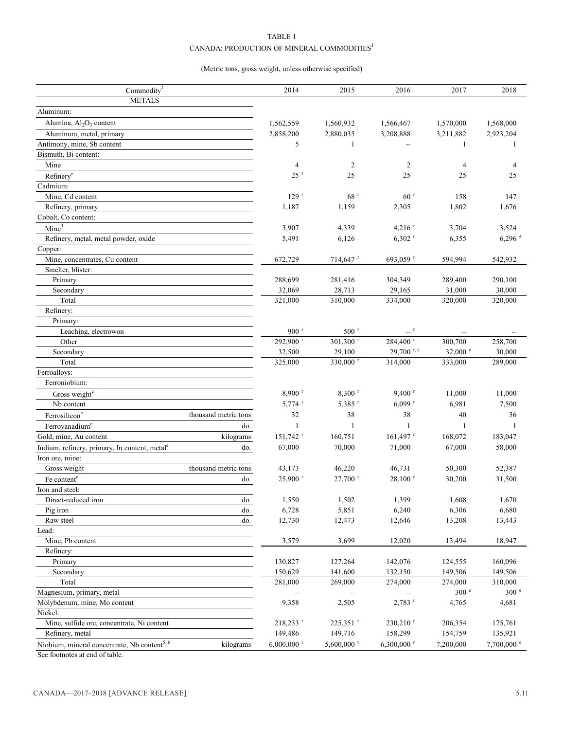# TABLE 1 CANADA: PRODUCTION OF MINERAL COMMODITIES $^{\rm l}$

# (Metric tons, gross weight, unless otherwise specified)

| Commodity <sup>2</sup>                                                | 2014                     | 2015                     | 2016                     | 2017             | 2018                  |
|-----------------------------------------------------------------------|--------------------------|--------------------------|--------------------------|------------------|-----------------------|
| <b>METALS</b>                                                         |                          |                          |                          |                  |                       |
| Aluminum:                                                             |                          |                          |                          |                  |                       |
| Alumina, Al <sub>2</sub> O <sub>3</sub> content                       | 1,562,559                | 1,560,932                | 1,566,467                | 1,570,000        | 1,568,000             |
| Aluminum, metal, primary                                              | 2,858,200                | 2,880,035                | 3,208,888                | 3,211,882        | 2,923,204             |
| Antimony, mine, Sb content                                            | 5                        | 1                        |                          | 1                | -1                    |
| Bismuth, Bi content:                                                  |                          |                          |                          |                  |                       |
| Mine                                                                  | 4                        | 2                        | 2                        | 4                | $\overline{4}$        |
| Refinery <sup>e</sup>                                                 | $25$ <sup>r</sup>        | 25                       | 25                       | 25               | 25                    |
| Cadmium:                                                              |                          |                          |                          |                  |                       |
| Mine, Cd content                                                      | 129r                     | 68r                      | 60 <sup>r</sup>          | 158              | 147                   |
| Refinery, primary                                                     | 1,187                    | 1,159                    | 2,305                    | 1,802            | 1,676                 |
| Cobalt, Co content:                                                   |                          |                          |                          |                  |                       |
| Mine <sup>3</sup>                                                     | 3,907                    | 4,339                    | $4,216$ <sup>r</sup>     | 3,704            | 3,524                 |
| Refinery, metal, metal powder, oxide                                  | 5,491                    | 6,126                    | $6,302$ <sup>r</sup>     | 6,355            | $6,296$ <sup>4</sup>  |
| Copper:                                                               |                          |                          |                          |                  |                       |
| Mine, concentrates, Cu content                                        | 672,729                  | 714,647 <sup>r</sup>     | 693,059 <sup>r</sup>     | 594,994          | 542,932               |
| Smelter, blister:                                                     |                          |                          |                          |                  |                       |
| Primary                                                               | 288,699                  | 281,416                  | 304,349                  | 289,400          | 290,100               |
| Secondary                                                             | 32,069                   | 28,713                   | 29,165                   | 31,000           | 30,000                |
| Total                                                                 | 321,000                  | 310,000                  | 334,000                  | 320,000          | 320,000               |
| Refinery:                                                             |                          |                          |                          |                  |                       |
| Primary:                                                              |                          |                          |                          |                  |                       |
| Leaching, electrowon                                                  | $900$ <sup>r</sup>       | $500$ <sup>r</sup>       | $-$ <sup>r</sup>         |                  |                       |
| Other                                                                 | 292,900 r                | 301,300 r                | 284,400 <sup>r</sup>     | 300,700          | 258,700               |
| Secondary                                                             | 32,500                   | 29,100                   | $29,700$ r, e            | $32,000$ e       | 30,000                |
| Total                                                                 | 325,000                  | 330,000 r                | 314,000                  | 333,000          | 289,000               |
| Ferroalloys:                                                          |                          |                          |                          |                  |                       |
| Ferroniobium:                                                         |                          |                          |                          |                  |                       |
| Gross weight <sup>e</sup>                                             | $8,900$ <sup>r</sup>     | $8,300$ <sup>r</sup>     | $9,400$ <sup>r</sup>     | 11,000           | 11,000                |
| Nb content                                                            | $5,774$ <sup>r</sup>     | $5,385$ <sup>r</sup>     | $6,099$ <sup>r</sup>     | 6,981            | 7,500                 |
| Ferrosilicon <sup>e</sup><br>thousand metric tons                     | 32                       | 38                       | 38                       | 40               | 36                    |
| do.<br>Ferrovanadium <sup>e</sup>                                     | $\mathbf{1}$             | $\mathbf{1}$             | $\mathbf{1}$             | 1                | -1                    |
| Gold, mine, Au content<br>kilograms                                   | 151,742 <sup>r</sup>     | 160,751                  | $161,497$ <sup>r</sup>   | 168,072          | 183,047               |
| do.<br>Indium, refinery, primary, In content, metal <sup>e</sup>      | 67,000                   | 70,000                   | 71,000                   | 67,000           | 58,000                |
| Iron ore, mine:                                                       |                          |                          |                          |                  |                       |
| thousand metric tons<br>Gross weight                                  | 43,173                   | 46,220                   | 46,731                   | 50,300           | 52,387                |
| Fe content <sup>e</sup><br>do.                                        | $25,900$ <sup>r</sup>    | $27,700$ <sup>r</sup>    | $28,100$ <sup>r</sup>    | 30,200           | 31,500                |
| Iron and steel:                                                       |                          |                          |                          |                  |                       |
| Direct-reduced iron<br>do.                                            | 1,550                    | 1,502                    | 1,399                    | 1,608            | 1,670                 |
| do.<br>Pig iron                                                       | 6,728                    | 5,851                    | 6,240                    | 6,306            | 6,680                 |
| Raw steel<br>do.                                                      | 12,730                   | 12,473                   | 12,646                   | 13,208           | 13,443                |
| Lead:                                                                 |                          |                          |                          |                  |                       |
| Mine, Pb content                                                      | 3,579                    | 3,699                    | 12,020                   | 13,494           | 18,947                |
| Refinery:                                                             |                          |                          |                          |                  |                       |
| Primary                                                               | 130,827                  | 127,264                  | 142,076                  | 124,555          | 160,096               |
| Secondary                                                             | 150,629                  | 141,600                  | 132,150                  | 149,506          | 149,506               |
| Total                                                                 | 281,000                  | 269,000                  | 274,000                  | 274,000          | 310,000               |
| Magnesium, primary, metal                                             |                          |                          |                          | 300 <sup>e</sup> | 300 e                 |
| Molybdenum, mine, Mo content                                          | 9,358                    | 2,505                    | 2,783 r                  | 4,765            | 4,681                 |
| Nickel:                                                               |                          |                          |                          |                  |                       |
| Mine, sulfide ore, concentrate, Ni content                            | 218,233 r                | 225,351 r                | 230,210 r                | 206,354          | 175,761               |
| Refinery, metal                                                       | 149,486                  | 149,716                  | 158,299                  | 154,759          | 135,921               |
| Niobium, mineral concentrate, Nb content <sup>5, 6</sup><br>kilograms | $6,000,000$ <sup>r</sup> | $5,600,000$ <sup>r</sup> | $6,300,000$ <sup>r</sup> | 7,200,000        | $7,700,000$ $\degree$ |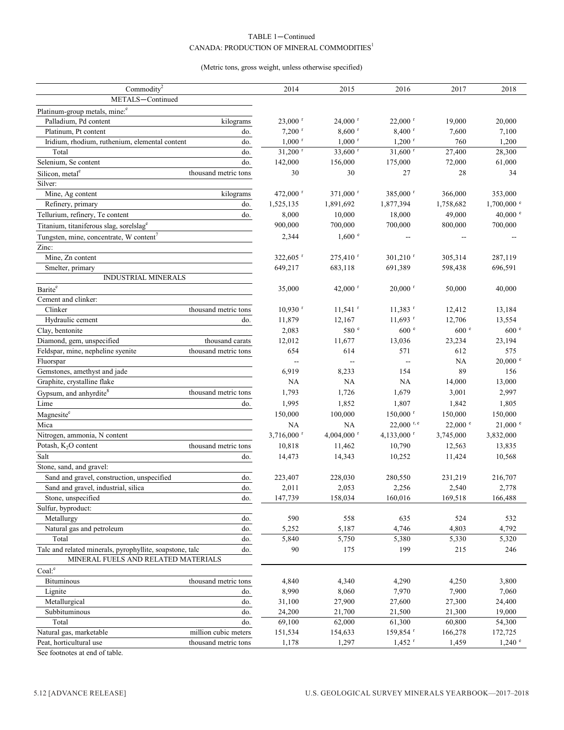# TABLE 1—Continued CANADA: PRODUCTION OF MINERAL COMMODITIES  $^{\mathrm{I}}$

# (Metric tons, gross weight, unless otherwise specified)

| Commodity <sup>2</sup>                                   |                      | 2014                     | 2015                     | 2016                   | 2017               | 2018                     |
|----------------------------------------------------------|----------------------|--------------------------|--------------------------|------------------------|--------------------|--------------------------|
| METALS-Continued                                         |                      |                          |                          |                        |                    |                          |
| Platinum-group metals, mine: <sup>e</sup>                |                      |                          |                          |                        |                    |                          |
| Palladium, Pd content                                    | kilograms            | $23,000$ <sup>r</sup>    | $24,000$ <sup>r</sup>    | $22,000$ <sup>r</sup>  | 19,000             | 20,000                   |
| Platinum, Pt content                                     | do.                  | $7,200$ <sup>r</sup>     | $8,600$ <sup>r</sup>     | $8,400$ <sup>r</sup>   | 7,600              | 7,100                    |
| Iridium, rhodium, ruthenium, elemental content           | do.                  | $1,000$ <sup>r</sup>     | $1,000$ <sup>r</sup>     | $1,200$ <sup>r</sup>   | 760                | 1,200                    |
| Total                                                    | do.                  | $31,200$ <sup>r</sup>    | 33,600 r                 | $31,600$ <sup>r</sup>  | 27,400             | 28,300                   |
| Selenium, Se content                                     | do.                  | 142,000                  | 156,000                  | 175,000                | 72,000             | 61,000                   |
| Silicon, metal <sup>e</sup>                              | thousand metric tons | 30                       | 30                       | 27                     | 28                 | 34                       |
| Silver:                                                  |                      |                          |                          |                        |                    |                          |
| Mine, Ag content                                         | kilograms            | 472,000 $^{\rm r}$       | 371,000 r                | 385,000 r              | 366,000            | 353,000                  |
| Refinery, primary                                        | do.                  | 1,525,135                | 1,891,692                | 1,877,394              | 1,758,682          | $1,700,000$ <sup>e</sup> |
| Tellurium, refinery, Te content                          | do.                  | 8,000                    | 10,000                   | 18,000                 | 49,000             | 40,000 $^{\circ}$        |
| Titanium, titaniferous slag, sorelslage                  |                      | 900,000                  | 700,000                  | 700,000                | 800,000            | 700,000                  |
| Tungsten, mine, concentrate, W content <sup>7</sup>      |                      | 2,344                    | 1,600 °                  | $\overline{a}$         |                    |                          |
| Zinc:                                                    |                      |                          |                          |                        |                    |                          |
| Mine, Zn content                                         |                      | $322,605$ <sup>r</sup>   | $275,410$ <sup>r</sup>   | $301,210$ <sup>r</sup> | 305,314            | 287,119                  |
| Smelter, primary                                         |                      | 649,217                  | 683,118                  | 691,389                | 598,438            | 696,591                  |
| INDUSTRIAL MINERALS                                      |                      |                          |                          |                        |                    |                          |
| Barite <sup>e</sup>                                      |                      | 35,000                   | 42,000 $r$               | $20,000$ <sup>r</sup>  | 50,000             | 40,000                   |
| Cement and clinker:                                      |                      |                          |                          |                        |                    |                          |
| Clinker                                                  | thousand metric tons | $10,930$ <sup>r</sup>    | $11,541$ <sup>r</sup>    | $11,383$ <sup>r</sup>  | 12,412             | 13,184                   |
| Hydraulic cement                                         | do.                  | 11,879                   | 12,167                   | $11,693$ <sup>r</sup>  | 12,706             | 13,554                   |
| Clay, bentonite                                          |                      | 2,083                    | 580 e                    | 600 <sup>e</sup>       | 600 e              | 600 <sup>e</sup>         |
| Diamond, gem, unspecified                                | thousand carats      | 12,012                   | 11,677                   | 13,036                 | 23,234             | 23,194                   |
| Feldspar, mine, nepheline syenite                        | thousand metric tons | 654                      | 614                      | 571                    | 612                | 575                      |
| Fluorspar                                                |                      |                          | $\overline{\phantom{a}}$ | $\mathbf{L}$           | NA                 | $20,000$ e               |
| Gemstones, amethyst and jade                             |                      | 6,919                    | 8,233                    | 154                    | 89                 | 156                      |
| Graphite, crystalline flake                              |                      | <b>NA</b>                | <b>NA</b>                | <b>NA</b>              | 14,000             | 13,000                   |
| Gypsum, and anhyrdite <sup>8</sup>                       | thousand metric tons | 1,793                    | 1,726                    | 1,679                  | 3,001              | 2,997                    |
| Lime                                                     | do.                  | 1,995                    | 1,852                    | 1,807                  | 1,842              | 1,805                    |
| Magnesite <sup>e</sup>                                   |                      | 150,000                  | 100,000                  | $150,000$ <sup>r</sup> | 150,000            | 150,000                  |
| Mica                                                     |                      | NA                       | NA                       | $22,000$ r, e          | $22,000$ $\degree$ | $21,000$ $\degree$       |
| Nitrogen, ammonia, N content                             |                      | $3,716,000$ <sup>r</sup> | 4,004,000 $r$            | 4,133,000 r            | 3,745,000          | 3,832,000                |
| Potash, K <sub>2</sub> O content                         | thousand metric tons | 10,818                   | 11,462                   | 10,790                 | 12,563             | 13,835                   |
| Salt                                                     | do.                  | 14,473                   | 14,343                   | 10,252                 | 11,424             | 10,568                   |
| Stone, sand, and gravel:                                 |                      |                          |                          |                        |                    |                          |
| Sand and gravel, construction, unspecified               | do.                  | 223,407                  | 228,030                  | 280,550                | 231,219            | 216,707                  |
| Sand and gravel, industrial, silica                      | do.                  | 2,011                    | 2,053                    | 2,256                  | 2,540              | 2,778                    |
| Stone, unspecified                                       | do.                  | 147,739                  | 158,034                  | 160,016                | 169,518            | 166,488                  |
| Sulfur, byproduct:                                       |                      |                          |                          |                        |                    |                          |
| Metallurgy                                               | do.                  | 590                      | 558                      | 635                    | 524                | 532                      |
| Natural gas and petroleum                                | do.                  | 5,252                    | 5,187                    | 4,746                  | 4,803              | 4,792                    |
| Total                                                    | do.                  | 5,840                    | 5,750                    | 5,380                  | 5,330              | 5,320                    |
| Talc and related minerals, pyrophyllite, soapstone, talc | do.                  | 90                       | 175                      | 199                    | 215                | 246                      |
| MINERAL FUELS AND RELATED MATERIALS                      |                      |                          |                          |                        |                    |                          |
| $Coal:$ <sup>e</sup>                                     |                      |                          |                          |                        |                    |                          |
| Bituminous                                               | thousand metric tons | 4,840                    | 4,340                    | 4,290                  | 4,250              | 3,800                    |
| Lignite                                                  | do.                  | 8,990                    | 8,060                    | 7,970                  | 7,900              | 7,060                    |
| Metallurgical                                            | do.                  | 31,100                   | 27,900                   | 27,600                 | 27,300             | 24,400                   |
| Subbituminous                                            | do.                  | 24,200                   | 21,700                   | 21,500                 | 21,300             | 19,000                   |
| Total                                                    | do.                  | 69,100                   | 62,000                   | 61,300                 | 60,800             | 54,300                   |
| Natural gas, marketable                                  | million cubic meters | 151,534                  | 154,633                  | 159,854 <sup>r</sup>   | 166,278            | 172,725                  |
| Peat, horticultural use                                  | thousand metric tons | 1,178                    | 1,297                    | $1,452$ <sup>r</sup>   | 1,459              | $1,240$ $\degree$        |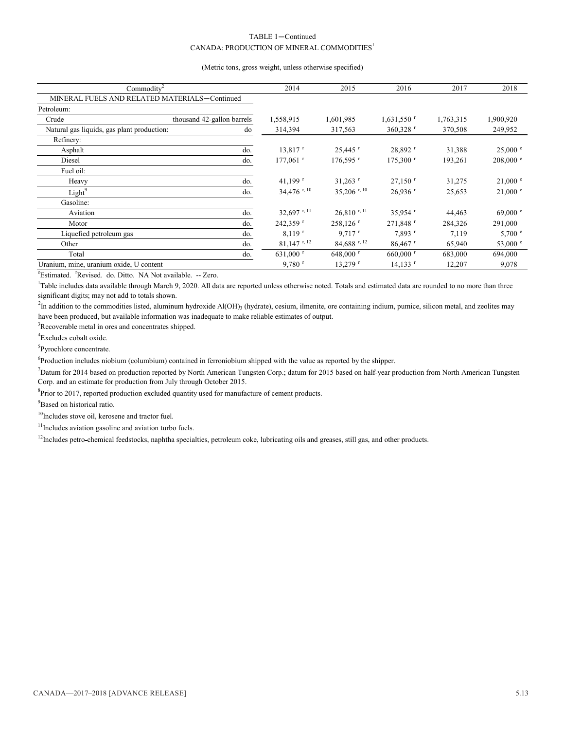# TABLE 1—Continued CANADA: PRODUCTION OF MINERAL COMMODITIES<sup>1</sup>

#### (Metric tons, gross weight, unless otherwise specified)

| Commodity <sup>2</sup>                        |                            | 2014                      | 2015                      | 2016                     | 2017      | 2018                |
|-----------------------------------------------|----------------------------|---------------------------|---------------------------|--------------------------|-----------|---------------------|
| MINERAL FUELS AND RELATED MATERIALS-Continued |                            |                           |                           |                          |           |                     |
| Petroleum:                                    |                            |                           |                           |                          |           |                     |
| Crude                                         | thousand 42-gallon barrels | 1,558,915                 | 1,601,985                 | $1,631,550$ <sup>r</sup> | 1,763,315 | 1,900,920           |
| Natural gas liquids, gas plant production:    | do                         | 314,394                   | 317,563                   | 360,328 r                | 370,508   | 249,952             |
| Refinery:                                     |                            |                           |                           |                          |           |                     |
| Asphalt                                       | do.                        | $13,817$ <sup>r</sup>     | $25,445$ <sup>r</sup>     | $28,892$ <sup>r</sup>    | 31,388    | $25,000$ $\degree$  |
| Diesel                                        | do.                        | $177,061$ <sup>r</sup>    | $176,595$ <sup>r</sup>    | $175,300$ <sup>r</sup>   | 193,261   | $208,000$ $\degree$ |
| Fuel oil:                                     |                            |                           |                           |                          |           |                     |
| Heavy                                         | do.                        | 41,199 $r$                | $31,263$ <sup>r</sup>     | $27,150$ <sup>r</sup>    | 31,275    | $21,000$ $\degree$  |
| Light <sup>9</sup>                            | do.                        | 34,476 $r, 10$            | $35,206$ r, 10            | $26,936$ <sup>r</sup>    | 25,653    | $21,000$ $\degree$  |
| Gasoline:                                     |                            |                           |                           |                          |           |                     |
| Aviation                                      | do.                        | 32,697 $^{r, 11}$         | $26,810$ <sup>r, 11</sup> | 35,954 $r$               | 44,463    | 69,000 $^{\circ}$   |
| Motor                                         | do.                        | 242,359 r                 | $258,126$ <sup>r</sup>    | 271,848 <sup>r</sup>     | 284,326   | 291,000             |
| Liquefied petroleum gas                       | do.                        | $8,119$ <sup>r</sup>      | $9,717$ <sup>r</sup>      | $7,893$ <sup>r</sup>     | 7,119     | 5,700 $^{\circ}$    |
| Other                                         | do.                        | $81,147$ <sup>r, 12</sup> | $84,688$ r, 12            | $86,467$ r               | 65,940    | 53,000 $^{\circ}$   |
| Total                                         | do.                        | $631,000$ <sup>r</sup>    | $648,000$ <sup>r</sup>    | $660,000$ <sup>r</sup>   | 683,000   | 694,000             |
| Uranium, mine, uranium oxide, U content       |                            | $9,780$ <sup>r</sup>      | $13,279$ <sup>r</sup>     | $14,133$ <sup>r</sup>    | 12,207    | 9,078               |

<sup>e</sup>Estimated. <sup>r</sup>Revised. do. Ditto. NA Not available. -- Zero.

<sup>1</sup>Table includes data available through March 9, 2020. All data are reported unless otherwise noted. Totals and estimated data are rounded to no more than three significant digits; may not add to totals shown.

 $^{2}$ In addition to the commodities listed, aluminum hydroxide Al(OH)<sub>3</sub> (hydrate), cesium, ilmenite, ore containing indium, pumice, silicon metal, and zeolites may have been produced, but available information was inadequate to make reliable estimates of output.

 $3$ Recoverable metal in ores and concentrates shipped.

4 Excludes cobalt oxide.

<sup>5</sup>Pyrochlore concentrate.

<sup>6</sup>Production includes niobium (columbium) contained in ferroniobium shipped with the value as reported by the shipper.

7 Datum for 2014 based on production reported by North American Tungsten Corp.; datum for 2015 based on half-year production from North American Tungsten Corp. and an estimate for production from July through October 2015.

 ${}^{8}$ Prior to 2017, reported production excluded quantity used for manufacture of cement products.

<sup>9</sup>Based on historical ratio.

 $10$ Includes stove oil, kerosene and tractor fuel.

 $11$ Includes aviation gasoline and aviation turbo fuels.

<sup>12</sup>Includes petro-chemical feedstocks, naphtha specialties, petroleum coke, lubricating oils and greases, still gas, and other products.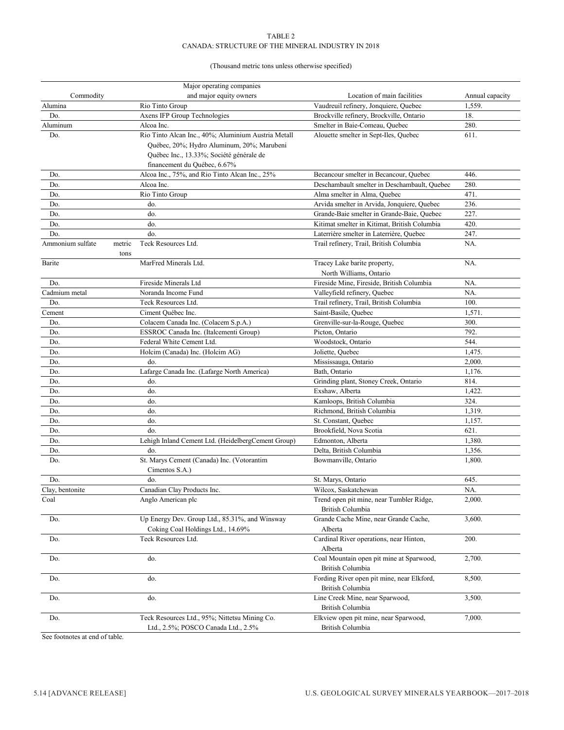# (Thousand metric tons unless otherwise specified)

|                  | Major operating companies                           |                                              |                 |
|------------------|-----------------------------------------------------|----------------------------------------------|-----------------|
| Commodity        | and major equity owners                             | Location of main facilities                  | Annual capacity |
| Alumina          | Rio Tinto Group                                     | Vaudreuil refinery, Jonquiere, Quebec        | 1,559.          |
| Do.              | Axens IFP Group Technologies                        | Brockville refinery, Brockville, Ontario     | 18.             |
| Aluminum         | Alcoa Inc.                                          | Smelter in Baie-Comeau, Quebec               | 280.            |
| Do.              | Rio Tinto Alcan Inc., 40%; Aluminium Austria Metall | Alouette smelter in Sept-Iles, Quebec        | 611.            |
|                  | Québec, 20%; Hydro Aluminum, 20%; Marubeni          |                                              |                 |
|                  | Québec Inc., 13.33%; Société générale de            |                                              |                 |
|                  | financement du Québec, 6.67%                        |                                              |                 |
| Do.              | Alcoa Inc., 75%, and Rio Tinto Alcan Inc., 25%      | Becancour smelter in Becancour, Quebec       | 446.            |
| Do.              | Alcoa Inc.                                          | Deschambault smelter in Deschambault, Quebec | 280.            |
| Do.              | Rio Tinto Group                                     | Alma smelter in Alma, Quebec                 | 471.            |
| Do.              | do.                                                 | Arvida smelter in Arvida, Jonquiere, Quebec  | 236.            |
| Do.              | do.                                                 | Grande-Baie smelter in Grande-Baie, Quebec   | 227.            |
|                  |                                                     |                                              |                 |
| Do.              | do.                                                 | Kitimat smelter in Kitimat, British Columbia | 420.            |
| Do.              | do.                                                 | Laterrière smelter in Laterrière, Quebec     | 247.            |
| Ammonium sulfate | Teck Resources Ltd.<br>metric                       | Trail refinery, Trail, British Columbia      | NA.             |
|                  | tons                                                |                                              |                 |
| Barite           | MarFred Minerals Ltd.                               | Tracey Lake barite property,                 | NA.             |
|                  |                                                     | North Williams, Ontario                      |                 |
| Do.              | Fireside Minerals Ltd                               | Fireside Mine, Fireside, British Columbia    | NA.             |
| Cadmium metal    | Noranda Income Fund                                 | Valleyfield refinery, Quebec                 | NA.             |
| Do.              | Teck Resources Ltd.                                 | Trail refinery, Trail, British Columbia      | 100.            |
| Cement           | Ciment Québec Inc.                                  | Saint-Basile, Quebec                         | 1,571.          |
| Do.              | Colacem Canada Inc. (Colacem S.p.A.)                | Grenville-sur-la-Rouge, Quebec               | 300.            |
| Do.              | ESSROC Canada Inc. (Italcementi Group)              | Picton, Ontario                              | 792.            |
| Do.              | Federal White Cement Ltd.                           | Woodstock, Ontario                           | 544.            |
| Do.              | Holcim (Canada) Inc. (Holcim AG)                    | Joliette, Quebec                             | 1,475.          |
| Do.              | do.                                                 | Mississauga, Ontario                         | 2,000.          |
| Do.              | Lafarge Canada Inc. (Lafarge North America)         | Bath, Ontario                                | 1,176.          |
| Do.              | do.                                                 | Grinding plant, Stoney Creek, Ontario        | 814.            |
| Do.              | do.                                                 | Exshaw, Alberta                              | 1,422.          |
| Do.              | do.                                                 | Kamloops, British Columbia                   | 324.            |
| Do.              | do.                                                 | Richmond, British Columbia                   | 1,319.          |
| Do.              | do.                                                 | St. Constant, Quebec                         | 1,157.          |
| Do.              | do.                                                 | Brookfield, Nova Scotia                      | 621.            |
| Do.              | Lehigh Inland Cement Ltd. (HeidelbergCement Group)  | Edmonton, Alberta                            | 1,380.          |
| Do.              | do.                                                 | Delta, British Columbia                      | 1,356.          |
| Do.              | St. Marys Cement (Canada) Inc. (Votorantim          | Bowmanville, Ontario                         | 1,800.          |
|                  | Cimentos S.A.)                                      |                                              |                 |
| Do.              | do.                                                 | St. Marys, Ontario                           | 645.            |
| Clay, bentonite  | Canadian Clay Products Inc.                         | Wilcox, Saskatchewan                         | NA.             |
| Coal             | Anglo American plc                                  | Trend open pit mine, near Tumbler Ridge,     | 2,000.          |
|                  |                                                     | British Columbia                             |                 |
| Do.              | Up Energy Dev. Group Ltd., 85.31%, and Winsway      | Grande Cache Mine, near Grande Cache,        | 3,600.          |
|                  |                                                     |                                              |                 |
|                  | Coking Coal Holdings Ltd., 14.69%                   | Alberta                                      |                 |
| Do.              | Teck Resources Ltd.                                 | Cardinal River operations, near Hinton,      | 200.            |
|                  |                                                     | Alberta                                      |                 |
| Do.              | do.                                                 | Coal Mountain open pit mine at Sparwood,     | 2,700.          |
|                  |                                                     | British Columbia                             |                 |
| Do.              | do.                                                 | Fording River open pit mine, near Elkford,   | 8,500.          |
|                  |                                                     | British Columbia                             |                 |
| Do.              | do.                                                 | Line Creek Mine, near Sparwood,              | 3,500.          |
|                  |                                                     | British Columbia                             |                 |
| Do.              | Teck Resources Ltd., 95%; Nittetsu Mining Co.       | Elkview open pit mine, near Sparwood,        | 7,000.          |
|                  | Ltd., 2.5%; POSCO Canada Ltd., 2.5%                 | British Columbia                             |                 |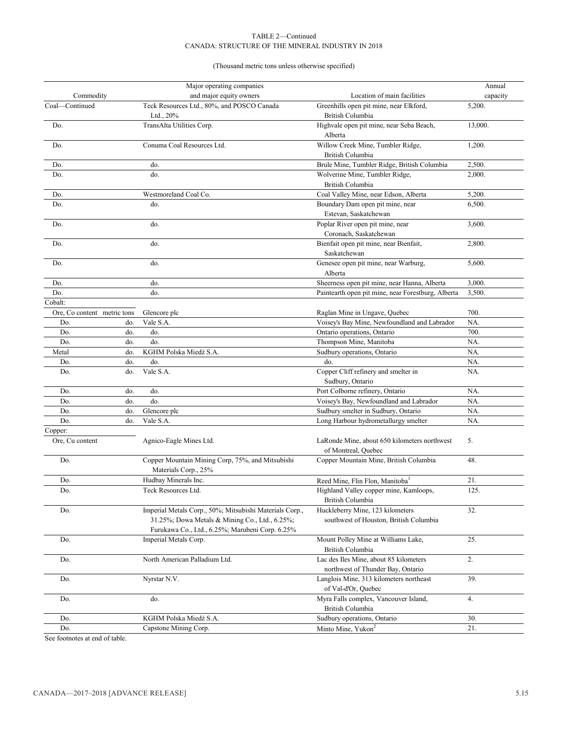(Thousand metric tons unless otherwise specified)

|                             |     | Major operating companies                                                                                                                                    |                                                                             | Annual   |
|-----------------------------|-----|--------------------------------------------------------------------------------------------------------------------------------------------------------------|-----------------------------------------------------------------------------|----------|
| Commodity                   |     | and major equity owners                                                                                                                                      | Location of main facilities                                                 | capacity |
| Coal-Continued              |     | Teck Resources Ltd., 80%, and POSCO Canada<br>Ltd., $20\%$                                                                                                   | Greenhills open pit mine, near Elkford,<br>British Columbia                 | 5,200.   |
| Do.                         |     | TransAlta Utilities Corp.                                                                                                                                    | Highvale open pit mine, near Seba Beach,<br>Alberta                         | 13,000.  |
| Do.                         |     | Conuma Coal Resources Ltd.                                                                                                                                   | Willow Creek Mine, Tumbler Ridge,<br>British Columbia                       | 1,200.   |
| Do.                         |     | do.                                                                                                                                                          | Brule Mine, Tumbler Ridge, British Columbia                                 | 2,500.   |
| Do.                         |     | do.                                                                                                                                                          | Wolverine Mine, Tumbler Ridge,<br>British Columbia                          | 2,000.   |
| Do.                         |     | Westmoreland Coal Co.                                                                                                                                        | Coal Valley Mine, near Edson, Alberta                                       | 5,200.   |
| Do.                         |     | do.                                                                                                                                                          | Boundary Dam open pit mine, near<br>Estevan, Saskatchewan                   | 6,500.   |
| Do.                         |     | do.                                                                                                                                                          | Poplar River open pit mine, near<br>Coronach, Saskatchewan                  | 3,600.   |
| Do.                         |     | do.                                                                                                                                                          | Bienfait open pit mine, near Bienfait,<br>Saskatchewan                      | 2,800.   |
| Do.                         |     | do.                                                                                                                                                          | Genesee open pit mine, near Warburg,<br>Alberta                             | 5,600.   |
| Do.                         |     | do.                                                                                                                                                          | Sheerness open pit mine, near Hanna, Alberta                                | 3,000.   |
| Do.                         |     | do.                                                                                                                                                          | Paintearth open pit mine, near Forestburg, Alberta                          | 3,500.   |
| Cobalt:                     |     |                                                                                                                                                              |                                                                             |          |
| Ore, Co content metric tons |     | Glencore plc                                                                                                                                                 | Raglan Mine in Ungave, Quebec                                               | 700.     |
| Do.                         | do. | Vale S.A.                                                                                                                                                    | Voisey's Bay Mine, Newfoundland and Labrador                                | NA.      |
| Do.                         | do. | do.                                                                                                                                                          | Ontario operations, Ontario                                                 | 700.     |
| Do.                         | do. | do.                                                                                                                                                          | Thompson Mine, Manitoba                                                     | NA.      |
| Metal                       | do. | KGHM Polska Miedź S.A.                                                                                                                                       | Sudbury operations, Ontario                                                 | NA.      |
| Do.                         | do. | do.                                                                                                                                                          | do.                                                                         | NA.      |
| Do.                         | do. | Vale S.A.                                                                                                                                                    | Copper Cliff refinery and smelter in<br>Sudbury, Ontario                    | NA.      |
| Do.                         | do. | do.                                                                                                                                                          | Port Colborne refinery, Ontario                                             | NA.      |
| Do.                         | do. | do.                                                                                                                                                          | Voisey's Bay, Newfoundland and Labrador                                     | NA.      |
| Do.                         | do. | Glencore plc                                                                                                                                                 | Sudbury smelter in Sudbury, Ontario                                         | NA.      |
| Do.                         | do. | Vale S.A.                                                                                                                                                    | Long Harbour hydrometallurgy smelter                                        | NA.      |
| Copper:<br>Ore, Cu content  |     | Agnico-Eagle Mines Ltd.                                                                                                                                      | LaRonde Mine, about 650 kilometers northwest<br>of Montreal, Quebec         | 5.       |
| Do.                         |     | Copper Mountain Mining Corp, 75%, and Mitsubishi<br>Materials Corp., 25%                                                                                     | Copper Mountain Mine, British Columbia                                      | 48.      |
| Do.                         |     | Hudbay Minerals Inc.                                                                                                                                         | Reed Mine, Flin Flon, Manitoba                                              | 21.      |
| Do.                         |     | Teck Resources Ltd.                                                                                                                                          | Highland Valley copper mine, Kamloops,<br>British Columbia                  | 125.     |
| Do.                         |     | Imperial Metals Corp., 50%; Mitsubishi Materials Corp.,<br>31.25%; Dowa Metals & Mining Co., Ltd., 6.25%;<br>Furukawa Co., Ltd., 6.25%; Marubeni Corp. 6.25% | Huckleberry Mine, 123 kilometers<br>southwest of Houston, British Columbia  | 32.      |
| Do.                         |     | Imperial Metals Corp.                                                                                                                                        | Mount Polley Mine at Williams Lake,<br>British Columbia                     | 25.      |
| Do.                         |     | North American Palladium Ltd.                                                                                                                                | Lac des Iles Mine, about 85 kilometers<br>northwest of Thunder Bay, Ontario | 2.       |
| Do.                         |     | Nyrstar N.V.                                                                                                                                                 | Langlois Mine, 313 kilometers northeast<br>of Val-d'Or, Quebec              | 39.      |
| Do.                         |     | do.                                                                                                                                                          | Myra Falls complex, Vancouver Island,<br>British Columbia                   | 4.       |
| Do.                         |     | KGHM Polska Miedź S.A.                                                                                                                                       | Sudbury operations, Ontario                                                 | 30.      |
| Do.                         |     | Capstone Mining Corp.                                                                                                                                        | Minto Mine, Yukon <sup>2</sup>                                              | 21.      |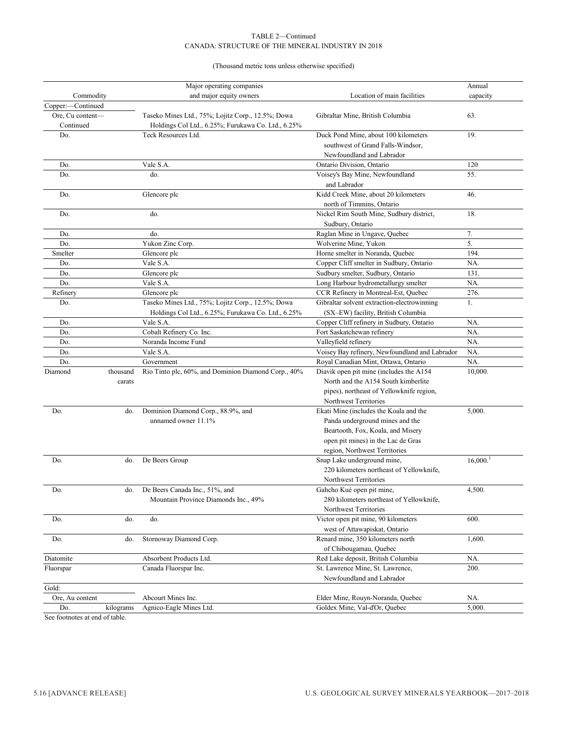(Thousand metric tons unless otherwise specified)

|                               |           | Major operating companies                                                                               |                                                | Annual               |
|-------------------------------|-----------|---------------------------------------------------------------------------------------------------------|------------------------------------------------|----------------------|
| Commodity                     |           | and major equity owners                                                                                 | Location of main facilities                    | capacity             |
| Copper:-Continued             |           |                                                                                                         |                                                |                      |
| Ore, Cu content-<br>Continued |           | Taseko Mines Ltd., 75%; Lojitz Corp., 12.5%; Dowa<br>Holdings Col Ltd., 6.25%; Furukawa Co. Ltd., 6.25% | Gibraltar Mine, British Columbia               | 63.                  |
| Do.                           |           | Teck Resources Ltd.                                                                                     | Duck Pond Mine, about 100 kilometers           | 19.                  |
|                               |           |                                                                                                         | southwest of Grand Falls-Windsor,              |                      |
|                               |           |                                                                                                         | Newfoundland and Labrador                      |                      |
| Do.                           |           | Vale S.A.                                                                                               | Ontario Division, Ontario                      | 120                  |
| Do.                           |           | do.                                                                                                     | Voisey's Bay Mine, Newfoundland                | 55.                  |
|                               |           |                                                                                                         | and Labrador                                   |                      |
| Do.                           |           | Glencore plc                                                                                            | Kidd Creek Mine, about 20 kilometers           | 46.                  |
|                               |           |                                                                                                         | north of Timmins, Ontario                      |                      |
| Do.                           |           | do.                                                                                                     | Nickel Rim South Mine, Sudbury district,       | 18.                  |
|                               |           |                                                                                                         | Sudbury, Ontario                               |                      |
| Do.                           |           | do.                                                                                                     | Raglan Mine in Ungave, Quebec                  | 7.                   |
| Do.                           |           | Yukon Zinc Corp.                                                                                        | Wolverine Mine, Yukon                          | 5.                   |
| Smelter                       |           | Glencore plc                                                                                            | Horne smelter in Noranda, Quebec               | 194.                 |
| Do.                           |           | Vale S.A.                                                                                               | Copper Cliff smelter in Sudbury, Ontario       | NA.                  |
| Do.                           |           | Glencore plc                                                                                            | Sudbury smelter, Sudbury, Ontario              | 131.                 |
| Do.                           |           | Vale S.A.                                                                                               | Long Harbour hydrometallurgy smelter           | NA.                  |
| Refinery                      |           | Glencore plc                                                                                            | CCR Refinery in Montreal-Est, Quebec           | 276.                 |
| Do.                           |           | Taseko Mines Ltd., 75%; Lojitz Corp., 12.5%; Dowa                                                       | Gibraltar solvent extraction-electrowinning    | 1.                   |
|                               |           | Holdings Col Ltd., 6.25%; Furukawa Co. Ltd., 6.25%                                                      | (SX-EW) facility, British Columbia             |                      |
| Do.                           |           | Vale S.A.                                                                                               | Copper Cliff refinery in Sudbury, Ontario      | NA.                  |
| Do.                           |           | Cobalt Refinery Co. Inc.                                                                                | Fort Saskatchewan refinery                     | NA.                  |
| Do.                           |           | Noranda Income Fund                                                                                     | Valleyfield refinery                           | NA.                  |
| Do.                           |           | Vale S.A.                                                                                               | Voisey Bay refinery, Newfoundland and Labrador | NA.                  |
| Do.                           |           | Government                                                                                              | Royal Canadian Mint, Ottawa, Ontario           | NA.                  |
| Diamond                       | thousand  | Rio Tinto plc, 60%, and Dominion Diamond Corp., 40%                                                     | Diavik open pit mine (includes the A154        | 10,000.              |
|                               | carats    |                                                                                                         | North and the A154 South kimberlite            |                      |
|                               |           |                                                                                                         | pipes), northeast of Yellowknife region,       |                      |
|                               |           |                                                                                                         | Northwest Territories                          |                      |
| Do.                           | do.       | Dominion Diamond Corp., 88.9%, and                                                                      | Ekati Mine (includes the Koala and the         | 5,000.               |
|                               |           | unnamed owner 11.1%                                                                                     | Panda underground mines and the                |                      |
|                               |           |                                                                                                         | Beartooth, Fox, Koala, and Misery              |                      |
|                               |           |                                                                                                         | open pit mines) in the Lac de Gras             |                      |
|                               |           |                                                                                                         | region, Northwest Territories                  |                      |
| Do.                           | do.       | De Beers Group                                                                                          | Snap Lake underground mine,                    | 16,000. <sup>1</sup> |
|                               |           |                                                                                                         | 220 kilometers northeast of Yellowknife,       |                      |
|                               |           |                                                                                                         | Northwest Territories                          |                      |
| Do.                           | do.       | De Beers Canada Inc., 51%, and                                                                          | Gahcho Kué open pit mine,                      | 4,500.               |
|                               |           | Mountain Province Diamonds Inc., 49%                                                                    | 280 kilometers northeast of Yellowknife,       |                      |
|                               |           |                                                                                                         | Northwest Territories                          |                      |
| Do.                           | do.       | do.                                                                                                     | Victor open pit mine, 90 kilometers            | 600.                 |
|                               |           |                                                                                                         | west of Attawapiskat, Ontario                  |                      |
| Do.                           | do.       | Stornoway Diamond Corp.                                                                                 | Renard mine, 350 kilometers north              | 1,600.               |
|                               |           |                                                                                                         | of Chibougamau, Quebec                         |                      |
| Diatomite                     |           | Absorbent Products Ltd.                                                                                 | Red Lake deposit, British Columbia             | NA.                  |
| Fluorspar                     |           | Canada Fluorspar Inc.                                                                                   | St. Lawrence Mine, St. Lawrence,               | 200.                 |
|                               |           |                                                                                                         | Newfoundland and Labrador                      |                      |
| Gold:                         |           |                                                                                                         |                                                |                      |
| Ore, Au content               |           | Abcourt Mines Inc.                                                                                      | Elder Mine, Rouyn-Noranda, Quebec              | NA.                  |
| Do.                           | kilograms | Agnico-Eagle Mines Ltd.                                                                                 | Goldex Mine, Val-d'Or, Quebec                  | 5.000.               |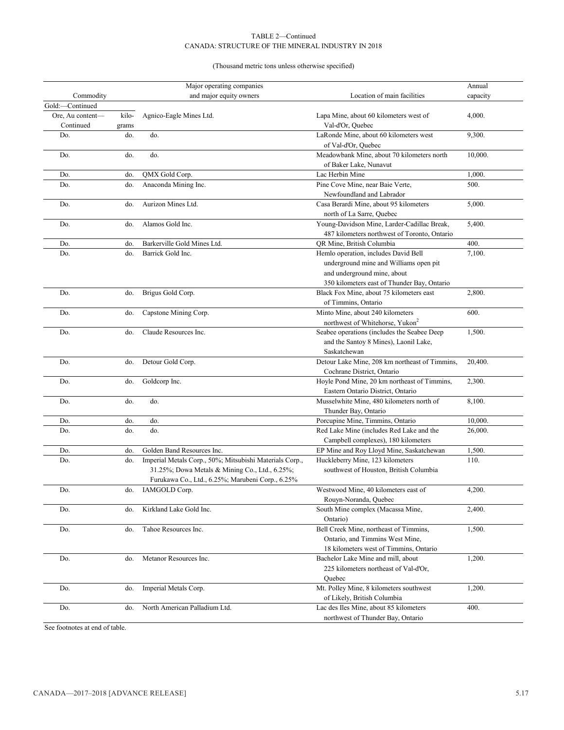(Thousand metric tons unless otherwise specified)

|                               |                | Major operating companies                                                                                                                                     |                                                                                                                                                              | Annual   |
|-------------------------------|----------------|---------------------------------------------------------------------------------------------------------------------------------------------------------------|--------------------------------------------------------------------------------------------------------------------------------------------------------------|----------|
| Commodity                     |                | and major equity owners                                                                                                                                       | Location of main facilities                                                                                                                                  | capacity |
| Gold:-Continued               |                |                                                                                                                                                               |                                                                                                                                                              |          |
| Ore, Au content-<br>Continued | kilo-<br>grams | Agnico-Eagle Mines Ltd.                                                                                                                                       | Lapa Mine, about 60 kilometers west of<br>Val-d'Or, Quebec                                                                                                   | 4,000.   |
| Do.                           | do.            | do.                                                                                                                                                           | LaRonde Mine, about 60 kilometers west<br>of Val-d'Or, Quebec                                                                                                | 9,300.   |
| Do.                           | do.            | do.                                                                                                                                                           | Meadowbank Mine, about 70 kilometers north<br>of Baker Lake, Nunavut                                                                                         | 10,000.  |
| Do.                           | do.            | QMX Gold Corp.                                                                                                                                                | Lac Herbin Mine                                                                                                                                              | 1,000.   |
| Do.                           | do.            | Anaconda Mining Inc.                                                                                                                                          | Pine Cove Mine, near Baie Verte,<br>Newfoundland and Labrador                                                                                                | 500.     |
| Do.                           | do.            | Aurizon Mines Ltd.                                                                                                                                            | Casa Berardi Mine, about 95 kilometers<br>north of La Sarre, Quebec                                                                                          | 5,000.   |
| Do.                           | do.            | Alamos Gold Inc.                                                                                                                                              | Young-Davidson Mine, Larder-Cadillac Break,<br>487 kilometers northwest of Toronto, Ontario                                                                  | 5,400.   |
| Do.                           | do.            | Barkerville Gold Mines Ltd.                                                                                                                                   | QR Mine, British Columbia                                                                                                                                    | 400.     |
| Do.                           | do.            | Barrick Gold Inc.                                                                                                                                             | Hemlo operation, includes David Bell<br>underground mine and Williams open pit<br>and underground mine, about<br>350 kilometers east of Thunder Bay, Ontario | 7,100.   |
| Do.                           | do.            | Brigus Gold Corp.                                                                                                                                             | Black Fox Mine, about 75 kilometers east<br>of Timmins, Ontario                                                                                              | 2,800.   |
| Do.                           | do.            | Capstone Mining Corp.                                                                                                                                         | Minto Mine, about 240 kilometers<br>northwest of Whitehorse, Yukon <sup>2</sup>                                                                              | 600.     |
| Do.                           | do.            | Claude Resources Inc.                                                                                                                                         | Seabee operations (includes the Seabee Deep<br>and the Santoy 8 Mines), Laonil Lake,<br>Saskatchewan                                                         | 1,500.   |
| Do.                           | do.            | Detour Gold Corp.                                                                                                                                             | Detour Lake Mine, 208 km northeast of Timmins,<br>Cochrane District, Ontario                                                                                 | 20,400.  |
| Do.                           | do.            | Goldcorp Inc.                                                                                                                                                 | Hoyle Pond Mine, 20 km northeast of Timmins,<br>Eastern Ontario District, Ontario                                                                            | 2,300.   |
| Do.                           | do.            | do.                                                                                                                                                           | Musselwhite Mine, 480 kilometers north of<br>Thunder Bay, Ontario                                                                                            | 8,100.   |
| Do.                           | do.            | do.                                                                                                                                                           | Porcupine Mine, Timmins, Ontario                                                                                                                             | 10,000.  |
| Do.                           | do.            | do.                                                                                                                                                           | Red Lake Mine (includes Red Lake and the<br>Campbell complexes), 180 kilometers                                                                              | 26,000.  |
| Do.                           | do.            | Golden Band Resources Inc.                                                                                                                                    | EP Mine and Roy Lloyd Mine, Saskatchewan                                                                                                                     | 1,500.   |
| Do.                           | do.            | Imperial Metals Corp., 50%; Mitsubishi Materials Corp.,<br>31.25%; Dowa Metals & Mining Co., Ltd., 6.25%;<br>Furukawa Co., Ltd., 6.25%; Marubeni Corp., 6.25% | Huckleberry Mine, 123 kilometers<br>southwest of Houston, British Columbia                                                                                   | 110.     |
| Do.                           | do.            | IAMGOLD Corp.                                                                                                                                                 | Westwood Mine, 40 kilometers east of<br>Rouyn-Noranda, Quebec                                                                                                | 4,200.   |
| Do.                           | do.            | Kirkland Lake Gold Inc.                                                                                                                                       | South Mine complex (Macassa Mine,<br>Ontario)                                                                                                                | 2,400.   |
| Do.                           | do.            | Tahoe Resources Inc.                                                                                                                                          | Bell Creek Mine, northeast of Timmins,<br>Ontario, and Timmins West Mine,<br>18 kilometers west of Timmins, Ontario                                          | 1,500.   |
| Do.                           | do.            | Metanor Resources Inc.                                                                                                                                        | Bachelor Lake Mine and mill, about<br>225 kilometers northeast of Val-d'Or,<br>Quebec                                                                        | 1,200.   |
| Do.                           | do.            | Imperial Metals Corp.                                                                                                                                         | Mt. Polley Mine, 8 kilometers southwest<br>of Likely, British Columbia                                                                                       | 1,200.   |
| Do.                           | do.            | North American Palladium Ltd.                                                                                                                                 | Lac des Iles Mine, about 85 kilometers<br>northwest of Thunder Bay, Ontario                                                                                  | 400.     |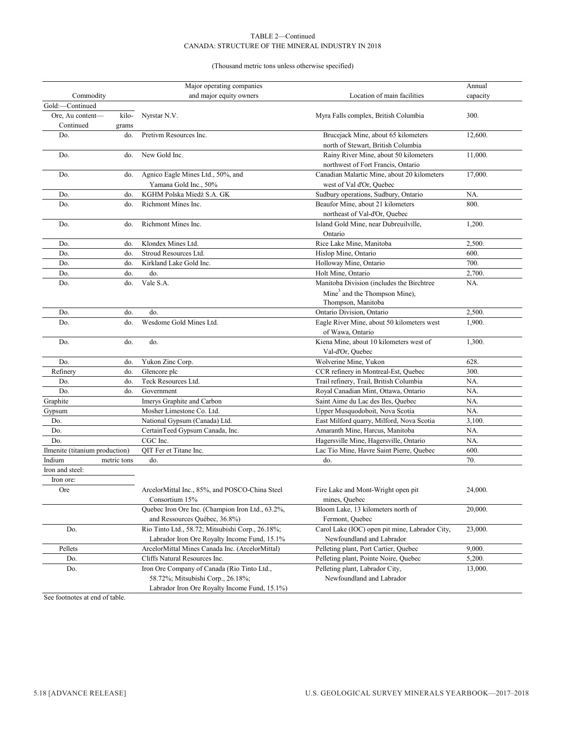# (Thousand metric tons unless otherwise specified)

|                                |             | Major operating companies                          |                                                                  | Annual   |
|--------------------------------|-------------|----------------------------------------------------|------------------------------------------------------------------|----------|
| Commodity                      |             | and major equity owners                            | Location of main facilities                                      | capacity |
| Gold:-Continued                |             |                                                    |                                                                  |          |
| Ore, Au content-               | kilo-       | Nyrstar N.V.                                       | Myra Falls complex, British Columbia                             | 300.     |
| Continued                      | grams       |                                                    |                                                                  |          |
| Do.                            | do.         | Pretivm Resources Inc.                             | Brucejack Mine, about 65 kilometers                              | 12,600.  |
|                                |             |                                                    | north of Stewart, British Columbia                               |          |
| Do.                            | do.         | New Gold Inc.                                      | Rainy River Mine, about 50 kilometers                            | 11,000.  |
|                                |             |                                                    | northwest of Fort Francis, Ontario                               |          |
| Do.                            | do.         | Agnico Eagle Mines Ltd., 50%, and                  | Canadian Malartic Mine, about 20 kilometers                      | 17,000.  |
| Do.                            | do.         | Yamana Gold Inc., 50%<br>KGHM Polska Miedź S.A. GK | west of Val d'Or, Quebec<br>Sudbury operations, Sudbury, Ontario | NA.      |
| Do.                            | do.         | Richmont Mines Inc.                                | Beaufor Mine, about 21 kilometers                                | 800.     |
|                                |             |                                                    | northeast of Val-d'Or, Quebec                                    |          |
| Do.                            | do.         | Richmont Mines Inc.                                | Island Gold Mine, near Dubreuilville,                            | 1,200.   |
|                                |             |                                                    | Ontario                                                          |          |
| Do.                            | do.         | Klondex Mines Ltd.                                 | Rice Lake Mine, Manitoba                                         | 2,500.   |
| Do.                            | do.         | Stroud Resources Ltd.                              | Hislop Mine, Ontario                                             | 600.     |
| Do.                            | do.         | Kirkland Lake Gold Inc.                            | Holloway Mine, Ontario                                           | 700.     |
| Do.                            | do.         | do.                                                | Holt Mine, Ontario                                               | 2,700.   |
| Do.                            | do.         | Vale S.A.                                          | Manitoba Division (includes the Birchtree                        | NA.      |
|                                |             |                                                    | Mine <sup>3</sup> and the Thompson Mine),                        |          |
|                                |             |                                                    | Thompson, Manitoba                                               |          |
| Do.                            | do.         | do.                                                | Ontario Division, Ontario                                        | 2,500.   |
| Do.                            | do.         | Wesdome Gold Mines Ltd.                            | Eagle River Mine, about 50 kilometers west                       | 1,900.   |
|                                |             |                                                    | of Wawa, Ontario                                                 |          |
| Do.                            | do.         | do.                                                | Kiena Mine, about 10 kilometers west of                          | 1,300.   |
|                                |             |                                                    | Val-d'Or, Quebec                                                 |          |
| Do.                            | do.         | Yukon Zinc Corp.                                   | Wolverine Mine, Yukon                                            | 628.     |
| Refinery                       | do.         | Glencore plc                                       | CCR refinery in Montreal-Est, Quebec                             | 300.     |
| Do.                            | do.         | Teck Resources Ltd.                                | Trail refinery, Trail, British Columbia                          | NA.      |
| Do.                            | do.         | Government                                         | Royal Canadian Mint, Ottawa, Ontario                             | NA.      |
| Graphite                       |             | Imerys Graphite and Carbon                         | Saint Aime du Lac des Iles, Quebec                               | NA.      |
| Gypsum                         |             | Mosher Limestone Co. Ltd.                          | Upper Musquodoboit, Nova Scotia                                  | NA.      |
| Do.                            |             | National Gypsum (Canada) Ltd.                      | East Milford quarry, Milford, Nova Scotia                        | 3,100.   |
| Do.                            |             | CertainTeed Gypsum Canada, Inc.                    | Amaranth Mine, Harcus, Manitoba                                  | NA.      |
| Do.                            |             | CGC Inc.                                           | Hagersville Mine, Hagersville, Ontario                           | NA.      |
| Ilmenite (titanium production) |             | OIT Fer et Titane Inc.                             | Lac Tio Mine, Havre Saint Pierre, Quebec                         | 600.     |
| Indium                         | metric tons | do.                                                | do.                                                              | 70.      |
| Iron and steel:                |             |                                                    |                                                                  |          |
| Iron ore:                      |             |                                                    |                                                                  |          |
| Ore                            |             | ArcelorMittal Inc., 85%, and POSCO-China Steel     | Fire Lake and Mont-Wright open pit                               | 24,000.  |
|                                |             | Consortium 15%                                     | mines, Quebec                                                    |          |
|                                |             | Quebec Iron Ore Inc. (Champion Iron Ltd., 63.2%,   | Bloom Lake, 13 kilometers north of                               | 20,000.  |
|                                |             | and Ressources Québec, 36.8%)                      | Fermont, Quebec                                                  |          |
| Do.                            |             | Rio Tinto Ltd., 58.72; Mitsubishi Corp., 26.18%;   | Carol Lake (IOC) open pit mine, Labrador City,                   | 23,000.  |
|                                |             | Labrador Iron Ore Royalty Income Fund, 15.1%       | Newfoundland and Labrador                                        |          |
| Pellets                        |             | ArcelorMittal Mines Canada Inc. (ArcelorMittal)    | Pelleting plant, Port Cartier, Quebec                            | 9,000.   |
| Do.                            |             | Cliffs Natural Resources Inc.                      | Pelleting plant, Pointe Noire, Quebec                            | 5,200.   |
| Do.                            |             | Iron Ore Company of Canada (Rio Tinto Ltd.,        | Pelleting plant, Labrador City,                                  | 13,000.  |
|                                |             | 58.72%; Mitsubishi Corp., 26.18%;                  | Newfoundland and Labrador                                        |          |
|                                |             | Labrador Iron Ore Royalty Income Fund, 15.1%)      |                                                                  |          |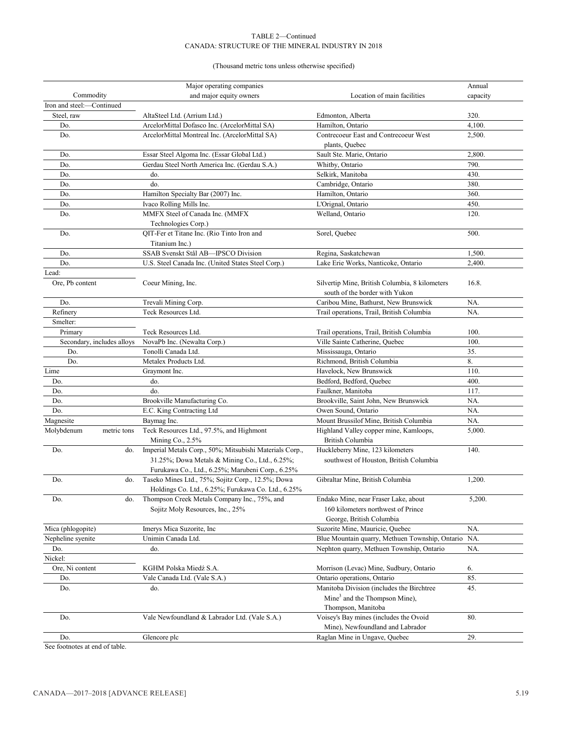# (Thousand metric tons unless otherwise specified)

|                            | Major operating companies                               |                                                     | Annual   |
|----------------------------|---------------------------------------------------------|-----------------------------------------------------|----------|
| Commodity                  | and major equity owners                                 | Location of main facilities                         | capacity |
| Iron and steel:-Continued  |                                                         |                                                     |          |
| Steel, raw                 | AltaSteel Ltd. (Arrium Ltd.)                            | Edmonton, Alberta                                   | 320.     |
| Do.                        | ArcelorMittal Dofasco Inc. (ArcelorMittal SA)           | Hamilton, Ontario                                   | 4,100.   |
| Do.                        | ArcelorMittal Montreal Inc. (ArcelorMittal SA)          | Contrecoeur East and Contrecoeur West               | 2,500.   |
|                            |                                                         | plants, Quebec                                      |          |
| Do.                        | Essar Steel Algoma Inc. (Essar Global Ltd.)             | Sault Ste. Marie, Ontario                           | 2,800.   |
| Do.                        | Gerdau Steel North America Inc. (Gerdau S.A.)           | Whitby, Ontario                                     | 790.     |
| Do.                        | do.                                                     | Selkirk, Manitoba                                   | 430.     |
| Do.                        | do.                                                     | Cambridge, Ontario                                  | 380.     |
| Do.                        | Hamilton Specialty Bar (2007) Inc.                      | Hamilton, Ontario                                   | 360.     |
| Do.                        | Ivaco Rolling Mills Inc.                                | L'Orignal, Ontario                                  | 450.     |
| Do.                        | MMFX Steel of Canada Inc. (MMFX                         | Welland, Ontario                                    | 120.     |
|                            | Technologies Corp.)                                     |                                                     |          |
| Do.                        | QIT-Fer et Titane Inc. (Rio Tinto Iron and              | Sorel, Quebec                                       | 500.     |
|                            | Titanium Inc.)                                          |                                                     |          |
| Do.                        | SSAB Svenskt Stål AB-IPSCO Division                     | Regina, Saskatchewan                                | 1,500.   |
| Do.                        | U.S. Steel Canada Inc. (United States Steel Corp.)      | Lake Erie Works, Nanticoke, Ontario                 | 2,400.   |
| Lead:                      |                                                         |                                                     |          |
| Ore. Pb content            | Coeur Mining, Inc.                                      | Silvertip Mine, British Columbia, 8 kilometers      | 16.8.    |
|                            |                                                         | south of the border with Yukon                      |          |
| Do.                        | Trevali Mining Corp.                                    | Caribou Mine, Bathurst, New Brunswick               | NA.      |
| Refinery                   | Teck Resources Ltd.                                     | Trail operations, Trail, British Columbia           | NA.      |
| Smelter:                   |                                                         |                                                     |          |
| Primary                    | Teck Resources Ltd.                                     | Trail operations, Trail, British Columbia           | 100.     |
| Secondary, includes alloys | NovaPb Inc. (Newalta Corp.)                             | Ville Sainte Catherine, Quebec                      | 100.     |
| Do.                        | Tonolli Canada Ltd.                                     | Mississauga, Ontario                                | 35.      |
| Do.                        | Metalex Products Ltd.                                   | Richmond, British Columbia                          | 8.       |
| Lime                       | Graymont Inc.                                           | Havelock, New Brunswick                             | 110.     |
| Do.                        | do.                                                     | Bedford, Bedford, Quebec                            | 400.     |
| Do.                        | do.                                                     | Faulkner, Manitoba                                  | 117.     |
| Do.                        | Brookville Manufacturing Co.                            | Brookville, Saint John, New Brunswick               | NA.      |
| Do.                        | E.C. King Contracting Ltd                               | Owen Sound, Ontario                                 | NA.      |
| Magnesite                  | Baymag Inc.                                             | Mount Brussilof Mine, British Columbia              | NA.      |
| Molybdenum<br>metric tons  | Teck Resources Ltd., 97.5%, and Highmont                | Highland Valley copper mine, Kamloops,              | 5,000.   |
|                            | Mining Co., 2.5%                                        | British Columbia                                    |          |
| Do.<br>do.                 | Imperial Metals Corp., 50%; Mitsubishi Materials Corp., | Huckleberry Mine, 123 kilometers                    | 140.     |
|                            | 31.25%; Dowa Metals & Mining Co., Ltd., 6.25%;          | southwest of Houston, British Columbia              |          |
|                            | Furukawa Co., Ltd., 6.25%; Marubeni Corp., 6.25%        |                                                     |          |
| Do.<br>do.                 | Taseko Mines Ltd., 75%; Sojitz Corp., 12.5%; Dowa       | Gibraltar Mine, British Columbia                    | 1,200.   |
|                            | Holdings Co. Ltd., 6.25%; Furukawa Co. Ltd., 6.25%      |                                                     |          |
| Do.<br>do.                 | Thompson Creek Metals Company Inc., 75%, and            | Endako Mine, near Fraser Lake, about                | 5,200.   |
|                            | Sojitz Moly Resources, Inc., 25%                        | 160 kilometers northwest of Prince                  |          |
|                            |                                                         | George, British Columbia                            |          |
| Mica (phlogopite)          | Imerys Mica Suzorite, Inc                               | Suzorite Mine, Mauricie, Quebec                     | NA.      |
| Nepheline syenite          | Unimin Canada Ltd.                                      | Blue Mountain quarry, Methuen Township, Ontario NA. |          |
| Do.                        | do.                                                     | Nephton quarry, Methuen Township, Ontario           | NA.      |
| Nickel:                    |                                                         |                                                     |          |
| Ore, Ni content            | KGHM Polska Miedź S.A.                                  | Morrison (Levac) Mine, Sudbury, Ontario             | 6.       |
| Do.                        | Vale Canada Ltd. (Vale S.A.)                            | Ontario operations, Ontario                         | 85.      |
| Do.                        | do.                                                     | Manitoba Division (includes the Birchtree           | 45.      |
|                            |                                                         | Mine <sup>3</sup> and the Thompson Mine),           |          |
|                            |                                                         | Thompson, Manitoba                                  |          |
| Do.                        | Vale Newfoundland & Labrador Ltd. (Vale S.A.)           | Voisey's Bay mines (includes the Ovoid              | 80.      |
|                            |                                                         | Mine), Newfoundland and Labrador                    |          |
| Do.                        | Glencore plc                                            | Raglan Mine in Ungave, Quebec                       | 29.      |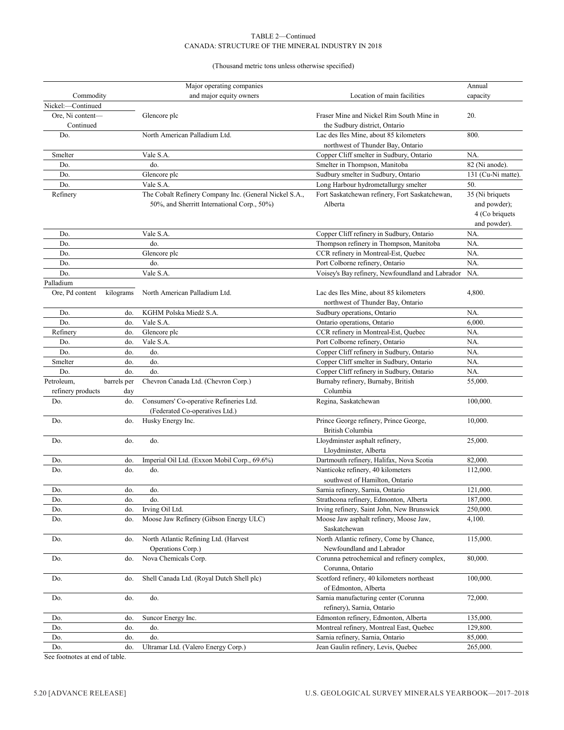(Thousand metric tons unless otherwise specified)

|                   |             | Major operating companies                              |                                                  | Annual                       |
|-------------------|-------------|--------------------------------------------------------|--------------------------------------------------|------------------------------|
| Commodity         |             | and major equity owners                                | Location of main facilities                      | capacity                     |
| Nickel:-Continued |             |                                                        |                                                  |                              |
| Ore, Ni content-  |             | Glencore plc                                           | Fraser Mine and Nickel Rim South Mine in         | 20.                          |
| Continued         |             |                                                        | the Sudbury district, Ontario                    |                              |
| Do.               |             | North American Palladium Ltd.                          | Lac des Iles Mine, about 85 kilometers           | 800.                         |
|                   |             |                                                        | northwest of Thunder Bay, Ontario                |                              |
| Smelter           |             | Vale S.A.                                              | Copper Cliff smelter in Sudbury, Ontario         | NA.                          |
| Do.               |             | do.                                                    | Smelter in Thompson, Manitoba                    | 82 (Ni anode).               |
| Do.               |             | Glencore plc                                           | Sudbury smelter in Sudbury, Ontario              | 131 (Cu-Ni matte).           |
| Do.               |             | Vale S.A.                                              | Long Harbour hydrometallurgy smelter             | 50.                          |
| Refinery          |             | The Cobalt Refinery Company Inc. (General Nickel S.A., | Fort Saskatchewan refinery, Fort Saskatchewan,   | $\overline{35}$ (Ni briquets |
|                   |             | 50%, and Sherritt International Corp., 50%)            | Alberta                                          | and powder);                 |
|                   |             |                                                        |                                                  | 4 (Co briquets               |
|                   |             |                                                        |                                                  | and powder).                 |
| Do.               |             | Vale S.A.                                              | Copper Cliff refinery in Sudbury, Ontario        | NA.                          |
| Do.               |             | do.                                                    | Thompson refinery in Thompson, Manitoba          | NA.                          |
| Do.               |             | Glencore plc                                           | CCR refinery in Montreal-Est, Quebec             | NA.                          |
| Do.               |             | do.                                                    | Port Colborne refinery, Ontario                  | NA.                          |
| Do.               |             | Vale S.A.                                              | Voisey's Bay refinery, Newfoundland and Labrador | NA.                          |
| Palladium         |             |                                                        |                                                  |                              |
| Ore, Pd content   | kilograms   | North American Palladium Ltd.                          | Lac des Iles Mine, about 85 kilometers           | 4,800.                       |
|                   |             |                                                        | northwest of Thunder Bay, Ontario                |                              |
| Do.               | do.         | KGHM Polska Miedź S.A.                                 | Sudbury operations, Ontario                      | NA.                          |
| Do.               | do.         | Vale S.A.                                              | Ontario operations, Ontario                      | 6,000.                       |
| Refinery          | do.         | Glencore plc                                           | CCR refinery in Montreal-Est, Quebec             | NA.                          |
| Do.               | do.         | Vale S.A.                                              | Port Colborne refinery, Ontario                  | NA.                          |
| Do.               | do.         | do.                                                    | Copper Cliff refinery in Sudbury, Ontario        | NA.                          |
| Smelter           | do.         | do.                                                    | Copper Cliff smelter in Sudbury, Ontario         | NA.                          |
| Do.               | do.         | do.                                                    | Copper Cliff refinery in Sudbury, Ontario        | NA.                          |
| Petroleum,        | barrels per | Chevron Canada Ltd. (Chevron Corp.)                    | Burnaby refinery, Burnaby, British               | 55,000.                      |
| refinery products | day         |                                                        | Columbia                                         |                              |
| Do.               | do.         | Consumers' Co-operative Refineries Ltd.                | Regina, Saskatchewan                             | 100,000.                     |
|                   |             | (Federated Co-operatives Ltd.)                         |                                                  |                              |
| Do.               | do.         | Husky Energy Inc.                                      | Prince George refinery, Prince George,           | 10,000.                      |
|                   |             |                                                        | British Columbia                                 |                              |
| Do.               | do.         | do.                                                    | Lloydminster asphalt refinery,                   | 25,000.                      |
|                   |             |                                                        | Lloydminster, Alberta                            |                              |
| Do.               | do.         | Imperial Oil Ltd. (Exxon Mobil Corp., 69.6%)           | Dartmouth refinery, Halifax, Nova Scotia         | 82,000.                      |
| Do.               | do.         | do.                                                    | Nanticoke refinery, 40 kilometers                | 112,000.                     |
|                   |             |                                                        | southwest of Hamilton, Ontario                   |                              |
| Do.               | do.         | do.                                                    | Sarnia refinery, Sarnia, Ontario                 | 121,000.                     |
| Do.               | do.         | do.                                                    | Strathcona refinery, Edmonton, Alberta           | 187,000.                     |
| Do.               | do.         | Irving Oil Ltd.                                        | Irving refinery, Saint John, New Brunswick       | 250,000.                     |
| Do.               | do.         | Moose Jaw Refinery (Gibson Energy ULC)                 | Moose Jaw asphalt refinery, Moose Jaw,           | 4,100.                       |
|                   |             |                                                        | Saskatchewan                                     |                              |
| Do.               | do.         | North Atlantic Refining Ltd. (Harvest                  | North Atlantic refinery, Come by Chance,         | 115,000.                     |
|                   |             | Operations Corp.)                                      | Newfoundland and Labrador                        |                              |
| Do.               | do.         | Nova Chemicals Corp.                                   | Corunna petrochemical and refinery complex,      | 80,000.                      |
|                   |             |                                                        | Corunna, Ontario                                 |                              |
| Do.               | do.         | Shell Canada Ltd. (Royal Dutch Shell plc)              | Scotford refinery, 40 kilometers northeast       | 100,000.                     |
|                   |             |                                                        | of Edmonton, Alberta                             |                              |
| Do.               | do.         | do.                                                    | Sarnia manufacturing center (Corunna             | 72,000.                      |
|                   |             |                                                        | refinery), Sarnia, Ontario                       |                              |
| Do.               | do.         | Suncor Energy Inc.                                     | Edmonton refinery, Edmonton, Alberta             | 135,000.                     |
| Do.               | do.         | do.                                                    | Montreal refinery, Montreal East, Quebec         | 129,800.                     |
| Do.               | do.         | do.                                                    | Sarnia refinery, Sarnia, Ontario                 | 85,000.                      |
| Do.               | do.         | Ultramar Ltd. (Valero Energy Corp.)                    | Jean Gaulin refinery, Levis, Quebec              | 265,000.                     |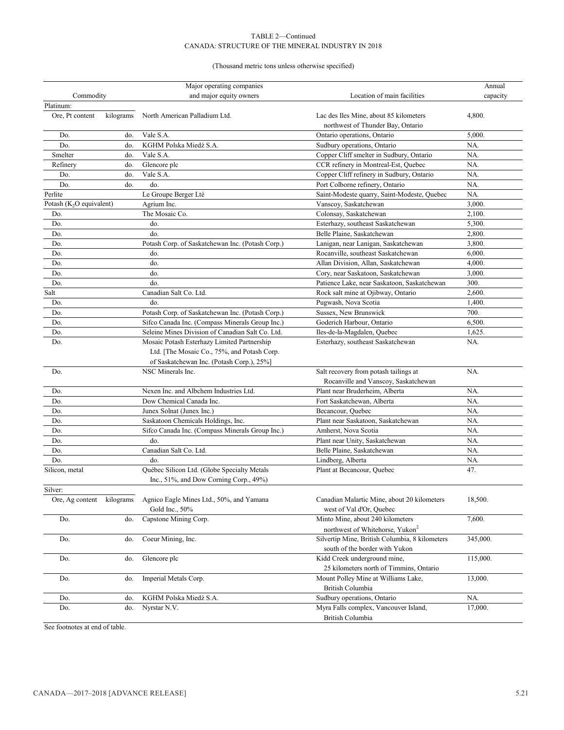(Thousand metric tons unless otherwise specified)

|                                      |           | Major operating companies                                                                |                                                                                  | Annual   |
|--------------------------------------|-----------|------------------------------------------------------------------------------------------|----------------------------------------------------------------------------------|----------|
| Commodity                            |           | and major equity owners                                                                  | Location of main facilities                                                      | capacity |
| Platinum:<br>Ore, Pt content         | kilograms | North American Palladium Ltd.                                                            | Lac des Iles Mine, about 85 kilometers<br>northwest of Thunder Bay, Ontario      | 4,800.   |
| Do.                                  | do.       | Vale S.A.                                                                                | Ontario operations, Ontario                                                      | 5,000.   |
| Do.                                  | do.       | KGHM Polska Miedź S.A.                                                                   | Sudbury operations, Ontario                                                      | NA.      |
| Smelter                              | do.       | Vale S.A.                                                                                | Copper Cliff smelter in Sudbury, Ontario                                         | NA.      |
| Refinery                             | do.       | Glencore plc                                                                             | CCR refinery in Montreal-Est, Quebec                                             | NA.      |
| Do.                                  | do.       | Vale S.A.                                                                                | Copper Cliff refinery in Sudbury, Ontario                                        | NA.      |
| Do.                                  | do.       | do.                                                                                      | Port Colborne refinery, Ontario                                                  | NA.      |
| Perlite                              |           | Le Groupe Berger Lté                                                                     | Saint-Modeste quarry, Saint-Modeste, Quebec                                      | NA.      |
| Potash (K <sub>2</sub> O equivalent) |           | Agrium Inc.                                                                              | Vanscoy, Saskatchewan                                                            | 3,000.   |
| Do.                                  |           | The Mosaic Co.                                                                           | Colonsay, Saskatchewan                                                           | 2,100.   |
| Do.                                  |           | do.                                                                                      | Esterhazy, southeast Saskatchewan                                                | 5,300.   |
| Do.                                  |           | do.                                                                                      | Belle Plaine, Saskatchewan                                                       | 2,800.   |
| Do.                                  |           | Potash Corp. of Saskatchewan Inc. (Potash Corp.)                                         | Lanigan, near Lanigan, Saskatchewan                                              | 3,800.   |
| Do.                                  |           | do.                                                                                      | Rocanville, southeast Saskatchewan                                               | 6,000.   |
| Do.                                  |           | do.                                                                                      | Allan Division, Allan, Saskatchewan                                              | 4,000.   |
| Do.                                  |           | do.                                                                                      | Cory, near Saskatoon, Saskatchewan                                               | 3,000.   |
| Do.                                  |           | do.                                                                                      | Patience Lake, near Saskatoon, Saskatchewan                                      | 300.     |
| Salt                                 |           | Canadian Salt Co. Ltd.                                                                   | Rock salt mine at Ojibway, Ontario                                               | 2,600.   |
| Do.                                  |           | do.                                                                                      | Pugwash, Nova Scotia                                                             | 1,400.   |
| Do.                                  |           | Potash Corp. of Saskatchewan Inc. (Potash Corp.)                                         | Sussex, New Brunswick                                                            | 700.     |
| Do.                                  |           | Sifco Canada Inc. (Compass Minerals Group Inc.)                                          | Goderich Harbour, Ontario                                                        | 6,500.   |
| Do.                                  |           | Seleine Mines Division of Canadian Salt Co. Ltd.                                         | Iles-de-la-Magdalen, Quebec                                                      | 1,625.   |
| Do.                                  |           | Mosaic Potash Esterhazy Limited Partnership                                              | Esterhazy, southeast Saskatchewan                                                | NA.      |
|                                      |           | Ltd. [The Mosaic Co., 75%, and Potash Corp.<br>of Saskatchewan Inc. (Potash Corp.), 25%] |                                                                                  |          |
| Do.                                  |           | NSC Minerals Inc.                                                                        | Salt recovery from potash tailings at<br>Rocanville and Vanscoy, Saskatchewan    | NA.      |
| Do.                                  |           | Nexen Inc. and Albchem Industries Ltd.                                                   | Plant near Bruderheim, Alberta                                                   | NA.      |
| Do.                                  |           | Dow Chemical Canada Inc.                                                                 | Fort Saskatchewan, Alberta                                                       | NA.      |
| Do.                                  |           | Junex Solnat (Junex Inc.)                                                                | Becancour, Quebec                                                                | NA.      |
| Do.                                  |           | Saskatoon Chemicals Holdings, Inc.                                                       | Plant near Saskatoon, Saskatchewan                                               | NA.      |
| Do.                                  |           | Sifco Canada Inc. (Compass Minerals Group Inc.)                                          | Amherst, Nova Scotia                                                             | NA.      |
| Do.                                  |           | do.                                                                                      | Plant near Unity, Saskatchewan                                                   | NA.      |
| Do.                                  |           | Canadian Salt Co. Ltd.                                                                   | Belle Plaine, Saskatchewan                                                       | NA.      |
| Do.                                  |           | do.                                                                                      | Lindberg, Alberta                                                                | NA.      |
| Silicon, metal                       |           | Québec Silicon Ltd. (Globe Specialty Metals<br>Inc., 51%, and Dow Corning Corp., 49%)    | Plant at Becancour, Quebec                                                       | 47.      |
| Silver:                              |           |                                                                                          |                                                                                  |          |
| Ore, Ag content kilograms            |           | Agnico Eagle Mines Ltd., 50%, and Yamana<br>Gold Inc., 50%                               | Canadian Malartic Mine, about 20 kilometers<br>west of Val d'Or, Quebec          | 18,500.  |
| Do.                                  | do.       | Capstone Mining Corp.                                                                    | Minto Mine, about 240 kilometers<br>northwest of Whitehorse, Yukon <sup>2</sup>  | 7,600.   |
| Do.                                  | do.       | Coeur Mining, Inc.                                                                       | Silvertip Mine, British Columbia, 8 kilometers<br>south of the border with Yukon | 345,000. |
| Do.                                  | do.       | Glencore plc                                                                             | Kidd Creek underground mine,<br>25 kilometers north of Timmins, Ontario          | 115,000. |
| Do.                                  | do.       | Imperial Metals Corp.                                                                    | Mount Polley Mine at Williams Lake,<br>British Columbia                          | 13,000.  |
| Do.                                  | do.       | KGHM Polska Miedź S.A.                                                                   | Sudbury operations, Ontario                                                      | NA.      |
| Do.                                  | do.       | Nyrstar N.V.                                                                             | Myra Falls complex, Vancouver Island,<br>British Columbia                        | 17,000.  |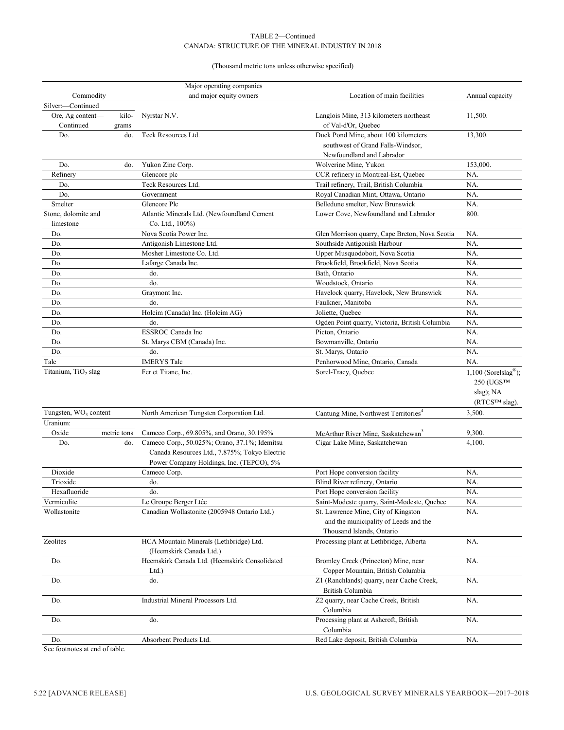(Thousand metric tons unless otherwise specified)

|                                   |             | Major operating companies                     |                                                  |                                    |
|-----------------------------------|-------------|-----------------------------------------------|--------------------------------------------------|------------------------------------|
| Commodity                         |             | and major equity owners                       | Location of main facilities                      | Annual capacity                    |
| Silver:-Continued                 |             |                                               |                                                  |                                    |
| Ore, Ag content-                  | kilo-       | Nyrstar N.V.                                  | Langlois Mine, 313 kilometers northeast          | 11,500.                            |
| Continued                         | grams       |                                               | of Val-d'Or, Quebec                              |                                    |
| Do.                               | do.         | Teck Resources Ltd.                           | Duck Pond Mine, about 100 kilometers             | 13,300.                            |
|                                   |             |                                               | southwest of Grand Falls-Windsor,                |                                    |
|                                   |             |                                               | Newfoundland and Labrador                        |                                    |
| Do.                               | do.         | Yukon Zinc Corp.                              | Wolverine Mine, Yukon                            | 153,000.                           |
| Refinery                          |             | Glencore plc                                  | CCR refinery in Montreal-Est, Quebec             | NA.                                |
|                                   |             |                                               |                                                  |                                    |
| Do.                               |             | Teck Resources Ltd.                           | Trail refinery, Trail, British Columbia          | NA.                                |
| Do.                               |             | Government                                    | Royal Canadian Mint, Ottawa, Ontario             | NA.                                |
| Smelter                           |             | Glencore Plc                                  | Belledune smelter, New Brunswick                 | NA.                                |
| Stone, dolomite and               |             | Atlantic Minerals Ltd. (Newfoundland Cement   | Lower Cove, Newfoundland and Labrador            | 800.                               |
| limestone                         |             | Co. Ltd., 100%)                               |                                                  |                                    |
| Do.                               |             | Nova Scotia Power Inc.                        | Glen Morrison quarry, Cape Breton, Nova Scotia   | NA.                                |
| Do.                               |             | Antigonish Limestone Ltd.                     | Southside Antigonish Harbour                     | NA.                                |
| Do.                               |             | Mosher Limestone Co. Ltd.                     | Upper Musquodoboit, Nova Scotia                  | NA.                                |
| Do.                               |             | Lafarge Canada Inc.                           | Brookfield, Brookfield, Nova Scotia              | NA.                                |
| Do.                               |             | do.                                           | Bath, Ontario                                    | NA.                                |
| Do.                               |             | do.                                           | Woodstock, Ontario                               | NA.                                |
| Do.                               |             | Graymont Inc.                                 | Havelock quarry, Havelock, New Brunswick         | NA.                                |
| Do.                               |             | do.                                           | Faulkner, Manitoba                               | NA.                                |
| Do.                               |             | Holcim (Canada) Inc. (Holcim AG)              | Joliette, Quebec                                 | NA.                                |
| Do.                               |             | do.                                           | Ogden Point quarry, Victoria, British Columbia   | NA.                                |
| Do.                               |             | ESSROC Canada Inc                             | Picton, Ontario                                  | NA.                                |
| Do.                               |             | St. Marys CBM (Canada) Inc.                   | Bowmanville, Ontario                             | NA.                                |
| Do.                               |             | do.                                           | St. Marys, Ontario                               | NA.                                |
| Talc                              |             | <b>IMERYS</b> Talc                            | Penhorwood Mine, Ontario, Canada                 | NA.                                |
|                                   |             |                                               |                                                  |                                    |
| Titanium, TiO <sub>2</sub> slag   |             | Fer et Titane, Inc.                           | Sorel-Tracy, Quebec                              | $1,100$ (Sorelslag <sup>®</sup> ); |
|                                   |             |                                               |                                                  | 250 (UGS™                          |
|                                   |             |                                               |                                                  | slag); NA                          |
|                                   |             |                                               |                                                  | (RTCS™ slag).                      |
| Tungsten, WO <sub>3</sub> content |             | North American Tungsten Corporation Ltd.      | Cantung Mine, Northwest Territories <sup>4</sup> | 3,500.                             |
| Uranium:                          |             |                                               |                                                  |                                    |
| Oxide                             | metric tons | Cameco Corp., 69.805%, and Orano, 30.195%     | McArthur River Mine, Saskatchewan <sup>3</sup>   | 9,300.                             |
| Do.                               | do.         | Cameco Corp., 50.025%; Orano, 37.1%; Idemitsu | Cigar Lake Mine, Saskatchewan                    | 4,100.                             |
|                                   |             | Canada Resources Ltd., 7.875%; Tokyo Electric |                                                  |                                    |
|                                   |             | Power Company Holdings, Inc. (TEPCO), 5%      |                                                  |                                    |
| Dioxide                           |             | Cameco Corp.                                  | Port Hope conversion facility                    | NA.                                |
| Trioxide                          |             | do.                                           | Blind River refinery, Ontario                    | NA.                                |
| Hexafluoride                      |             | do.                                           | Port Hope conversion facility                    | NA.                                |
| Vermiculite                       |             | Le Groupe Berger Ltée                         | Saint-Modeste quarry, Saint-Modeste, Quebec      | NA.                                |
| Wollastonite                      |             | Canadian Wollastonite (2005948 Ontario Ltd.)  |                                                  | NA.                                |
|                                   |             |                                               | St. Lawrence Mine, City of Kingston              |                                    |
|                                   |             |                                               | and the municipality of Leeds and the            |                                    |
|                                   |             |                                               | Thousand Islands, Ontario                        |                                    |
| Zeolites                          |             | HCA Mountain Minerals (Lethbridge) Ltd.       | Processing plant at Lethbridge, Alberta          | NA.                                |
|                                   |             | (Heemskirk Canada Ltd.)                       |                                                  |                                    |
| Do.                               |             | Heemskirk Canada Ltd. (Heemskirk Consolidated | Bromley Creek (Princeton) Mine, near             | NA.                                |
|                                   |             | Ltd.                                          | Copper Mountain, British Columbia                |                                    |
| Do.                               |             | do.                                           | Z1 (Ranchlands) quarry, near Cache Creek,        | NA.                                |
|                                   |             |                                               | British Columbia                                 |                                    |
| Do.                               |             | Industrial Mineral Processors Ltd.            | Z2 quarry, near Cache Creek, British             | NA.                                |
|                                   |             |                                               | Columbia                                         |                                    |
| Do.                               |             | do.                                           | Processing plant at Ashcroft, British            | NA.                                |
|                                   |             |                                               | Columbia                                         |                                    |
| Do.                               |             | Absorbent Products Ltd.                       | Red Lake deposit, British Columbia               | NA.                                |
|                                   |             |                                               |                                                  |                                    |